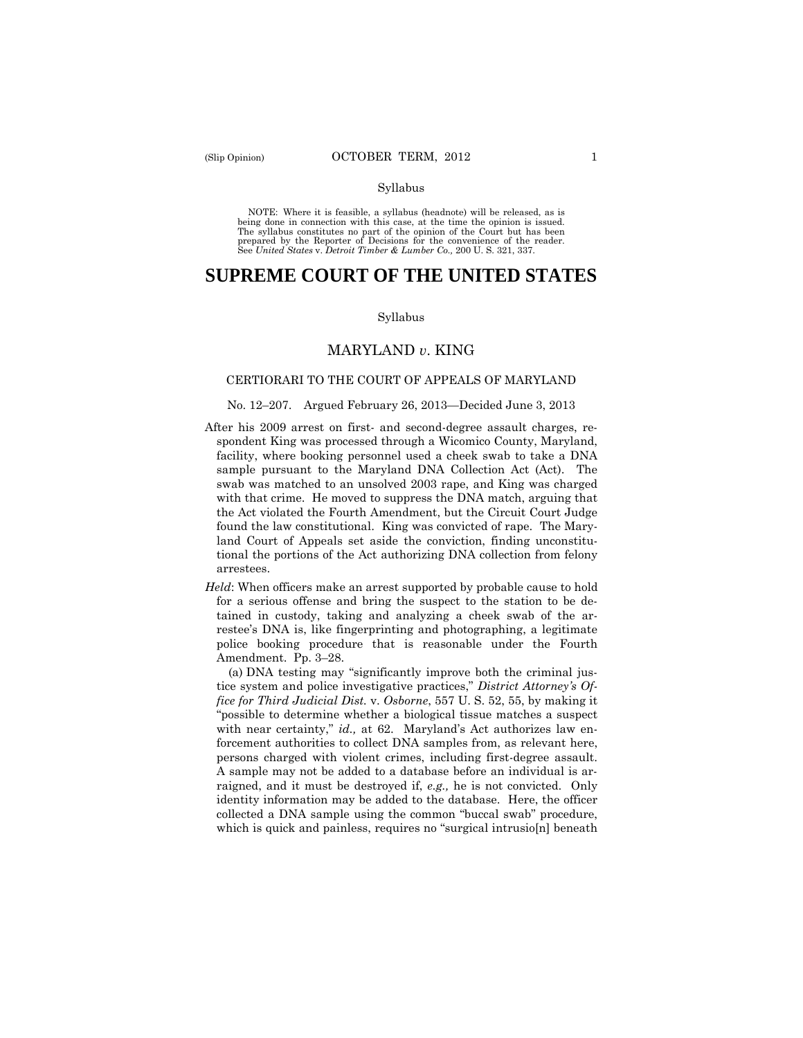NOTE: Where it is feasible, a syllabus (headnote) will be released, as is being done in connection with this case, at the time the opinion is issued. The syllabus constitutes no part of the opinion of the Court but has been<br>prepared by the Reporter of Decisions for the convenience of the reader.<br>See United States v. Detroit Timber & Lumber Co., 200 U.S. 321, 337.

# **SUPREME COURT OF THE UNITED STATES**

#### Syllabus

## MARYLAND *v*. KING

#### CERTIORARI TO THE COURT OF APPEALS OF MARYLAND

#### No. 12–207. Argued February 26, 2013—Decided June 3, 2013

- After his 2009 arrest on first- and second-degree assault charges, respondent King was processed through a Wicomico County, Maryland, facility, where booking personnel used a cheek swab to take a DNA sample pursuant to the Maryland DNA Collection Act (Act). The swab was matched to an unsolved 2003 rape, and King was charged with that crime. He moved to suppress the DNA match, arguing that the Act violated the Fourth Amendment, but the Circuit Court Judge found the law constitutional. King was convicted of rape. The Maryland Court of Appeals set aside the conviction, finding unconstitutional the portions of the Act authorizing DNA collection from felony arrestees.
- *Held*: When officers make an arrest supported by probable cause to hold for a serious offense and bring the suspect to the station to be detained in custody, taking and analyzing a cheek swab of the arrestee's DNA is, like fingerprinting and photographing, a legitimate police booking procedure that is reasonable under the Fourth Amendment. Pp. 3–28.

 persons charged with violent crimes, including first-degree assault. (a) DNA testing may "significantly improve both the criminal justice system and police investigative practices," *District Attorney's Office for Third Judicial Dist.* v. *Osborne*, 557 U. S. 52, 55, by making it "possible to determine whether a biological tissue matches a suspect with near certainty," *id.,* at 62. Maryland's Act authorizes law enforcement authorities to collect DNA samples from, as relevant here, A sample may not be added to a database before an individual is arraigned, and it must be destroyed if, *e.g.,* he is not convicted. Only identity information may be added to the database. Here, the officer collected a DNA sample using the common "buccal swab" procedure, which is quick and painless, requires no "surgical intrusio[n] beneath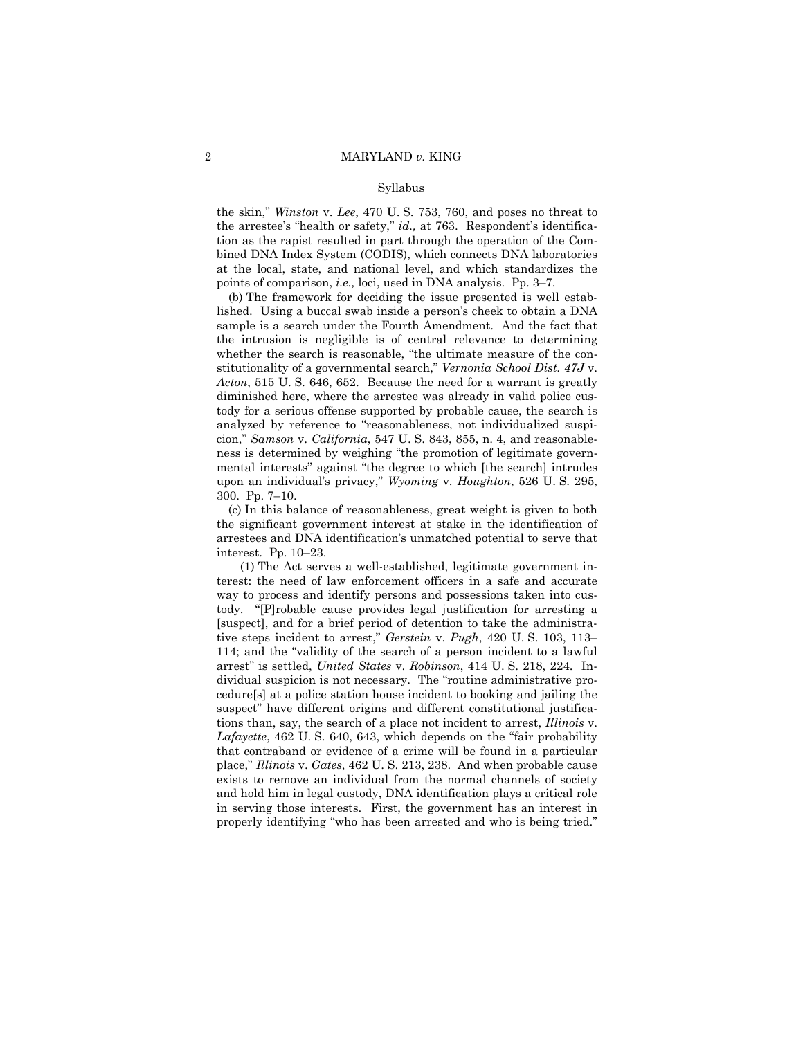the skin," *Winston* v. *Lee*, 470 U. S. 753, 760, and poses no threat to the arrestee's "health or safety," *id.,* at 763. Respondent's identification as the rapist resulted in part through the operation of the Combined DNA Index System (CODIS), which connects DNA laboratories at the local, state, and national level, and which standardizes the points of comparison, *i.e.,* loci, used in DNA analysis. Pp. 3–7.

(b) The framework for deciding the issue presented is well established. Using a buccal swab inside a person's cheek to obtain a DNA sample is a search under the Fourth Amendment. And the fact that the intrusion is negligible is of central relevance to determining whether the search is reasonable, "the ultimate measure of the constitutionality of a governmental search," *Vernonia School Dist. 47J* v. *Acton*, 515 U. S. 646, 652. Because the need for a warrant is greatly diminished here, where the arrestee was already in valid police custody for a serious offense supported by probable cause, the search is analyzed by reference to "reasonableness, not individualized suspicion," *Samson* v. *California*, 547 U. S. 843, 855, n. 4, and reasonableness is determined by weighing "the promotion of legitimate governmental interests" against "the degree to which [the search] intrudes upon an individual's privacy," *Wyoming* v. *Houghton*, 526 U. S. 295, 300. Pp. 7–10.

(c) In this balance of reasonableness, great weight is given to both the significant government interest at stake in the identification of arrestees and DNA identification's unmatched potential to serve that interest. Pp. 10–23.

(1) The Act serves a well-established, legitimate government interest: the need of law enforcement officers in a safe and accurate way to process and identify persons and possessions taken into custody. "[P]robable cause provides legal justification for arresting a [suspect], and for a brief period of detention to take the administrative steps incident to arrest," *Gerstein* v. *Pugh*, 420 U. S. 103, 113– 114; and the "validity of the search of a person incident to a lawful arrest" is settled, *United States* v. *Robinson*, 414 U. S. 218, 224. Individual suspicion is not necessary. The "routine administrative procedure[s] at a police station house incident to booking and jailing the suspect" have different origins and different constitutional justifications than, say, the search of a place not incident to arrest, *Illinois* v. *Lafayette*, 462 U. S. 640, 643, which depends on the "fair probability that contraband or evidence of a crime will be found in a particular place," *Illinois* v. *Gates*, 462 U. S. 213, 238. And when probable cause exists to remove an individual from the normal channels of society and hold him in legal custody, DNA identification plays a critical role in serving those interests. First, the government has an interest in properly identifying "who has been arrested and who is being tried."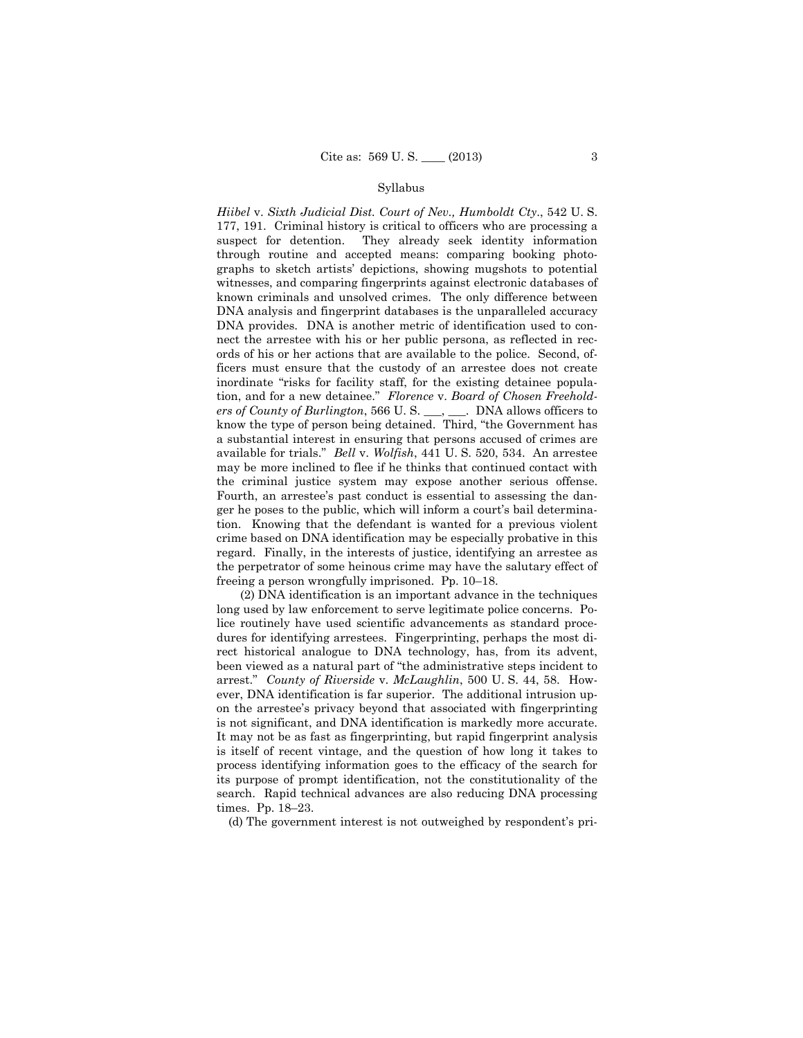*Hiibel* v. *Sixth Judicial Dist. Court of Nev., Humboldt Cty*., 542 U. S. 177, 191. Criminal history is critical to officers who are processing a suspect for detention. They already seek identity information through routine and accepted means: comparing booking photographs to sketch artists' depictions, showing mugshots to potential witnesses, and comparing fingerprints against electronic databases of known criminals and unsolved crimes. The only difference between DNA analysis and fingerprint databases is the unparalleled accuracy DNA provides. DNA is another metric of identification used to connect the arrestee with his or her public persona, as reflected in records of his or her actions that are available to the police. Second, officers must ensure that the custody of an arrestee does not create inordinate "risks for facility staff, for the existing detainee population, and for a new detainee." *Florence* v. *Board of Chosen Freeholders of County of Burlington*, 566 U. S. \_\_\_, \_\_\_. DNA allows officers to know the type of person being detained. Third, "the Government has a substantial interest in ensuring that persons accused of crimes are available for trials." *Bell* v. *Wolfish*, 441 U. S. 520, 534. An arrestee may be more inclined to flee if he thinks that continued contact with the criminal justice system may expose another serious offense. Fourth, an arrestee's past conduct is essential to assessing the danger he poses to the public, which will inform a court's bail determination. Knowing that the defendant is wanted for a previous violent crime based on DNA identification may be especially probative in this regard. Finally, in the interests of justice, identifying an arrestee as the perpetrator of some heinous crime may have the salutary effect of freeing a person wrongfully imprisoned. Pp. 10–18.

 arrest." *County of Riverside* v. *McLaughlin*, 500 U. S. 44, 58. How-(2) DNA identification is an important advance in the techniques long used by law enforcement to serve legitimate police concerns. Police routinely have used scientific advancements as standard procedures for identifying arrestees. Fingerprinting, perhaps the most direct historical analogue to DNA technology, has, from its advent, been viewed as a natural part of "the administrative steps incident to ever, DNA identification is far superior. The additional intrusion upon the arrestee's privacy beyond that associated with fingerprinting is not significant, and DNA identification is markedly more accurate. It may not be as fast as fingerprinting, but rapid fingerprint analysis is itself of recent vintage, and the question of how long it takes to process identifying information goes to the efficacy of the search for its purpose of prompt identification, not the constitutionality of the search. Rapid technical advances are also reducing DNA processing times. Pp. 18–23.

(d) The government interest is not outweighed by respondent's pri-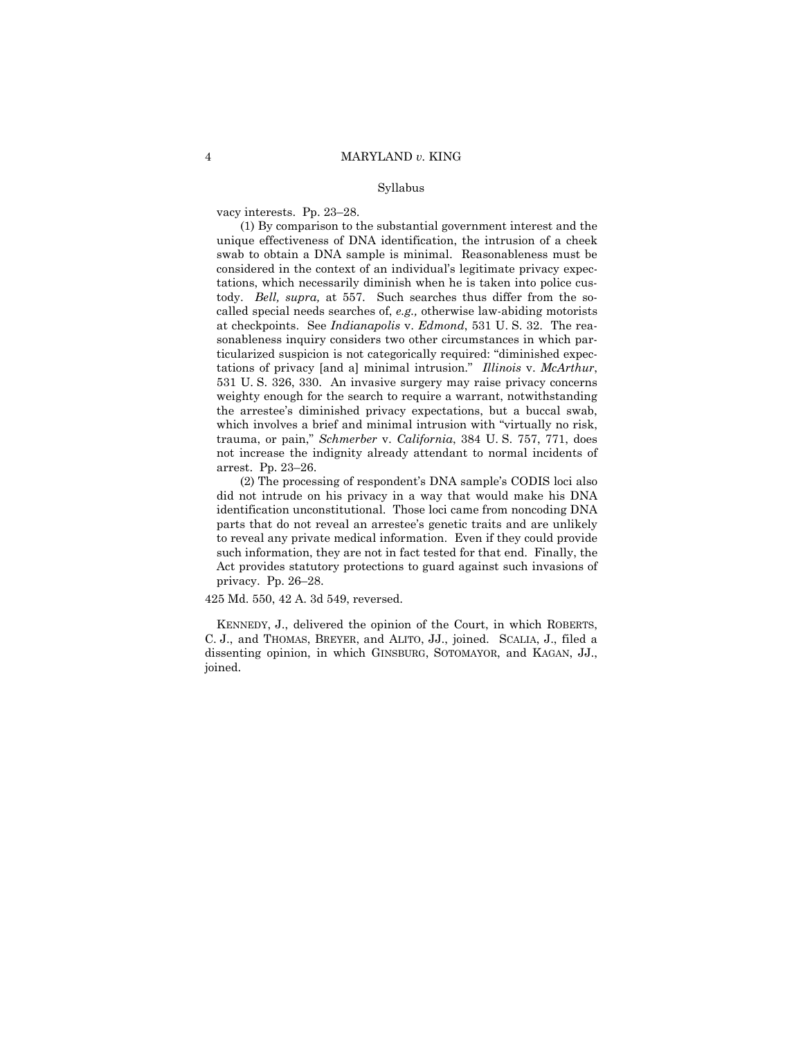vacy interests. Pp. 23–28.

(1) By comparison to the substantial government interest and the unique effectiveness of DNA identification, the intrusion of a cheek swab to obtain a DNA sample is minimal. Reasonableness must be considered in the context of an individual's legitimate privacy expectations, which necessarily diminish when he is taken into police custody. *Bell, supra,* at 557. Such searches thus differ from the socalled special needs searches of, *e.g.,* otherwise law-abiding motorists at checkpoints. See *Indianapolis* v. *Edmond*, 531 U. S. 32. The reasonableness inquiry considers two other circumstances in which particularized suspicion is not categorically required: "diminished expectations of privacy [and a] minimal intrusion." *Illinois* v. *McArthur*, 531 U. S. 326, 330. An invasive surgery may raise privacy concerns weighty enough for the search to require a warrant, notwithstanding the arrestee's diminished privacy expectations, but a buccal swab, which involves a brief and minimal intrusion with "virtually no risk, trauma, or pain," *Schmerber* v. *California*, 384 U. S. 757, 771, does not increase the indignity already attendant to normal incidents of arrest. Pp. 23–26.

(2) The processing of respondent's DNA sample's CODIS loci also did not intrude on his privacy in a way that would make his DNA identification unconstitutional. Those loci came from noncoding DNA parts that do not reveal an arrestee's genetic traits and are unlikely to reveal any private medical information. Even if they could provide such information, they are not in fact tested for that end. Finally, the Act provides statutory protections to guard against such invasions of privacy. Pp. 26–28.

425 Md. 550, 42 A. 3d 549, reversed.

KENNEDY, J., delivered the opinion of the Court, in which ROBERTS, C. J., and THOMAS, BREYER, and ALITO, JJ., joined. SCALIA, J., filed a dissenting opinion, in which GINSBURG, SOTOMAYOR, and KAGAN, JJ., joined.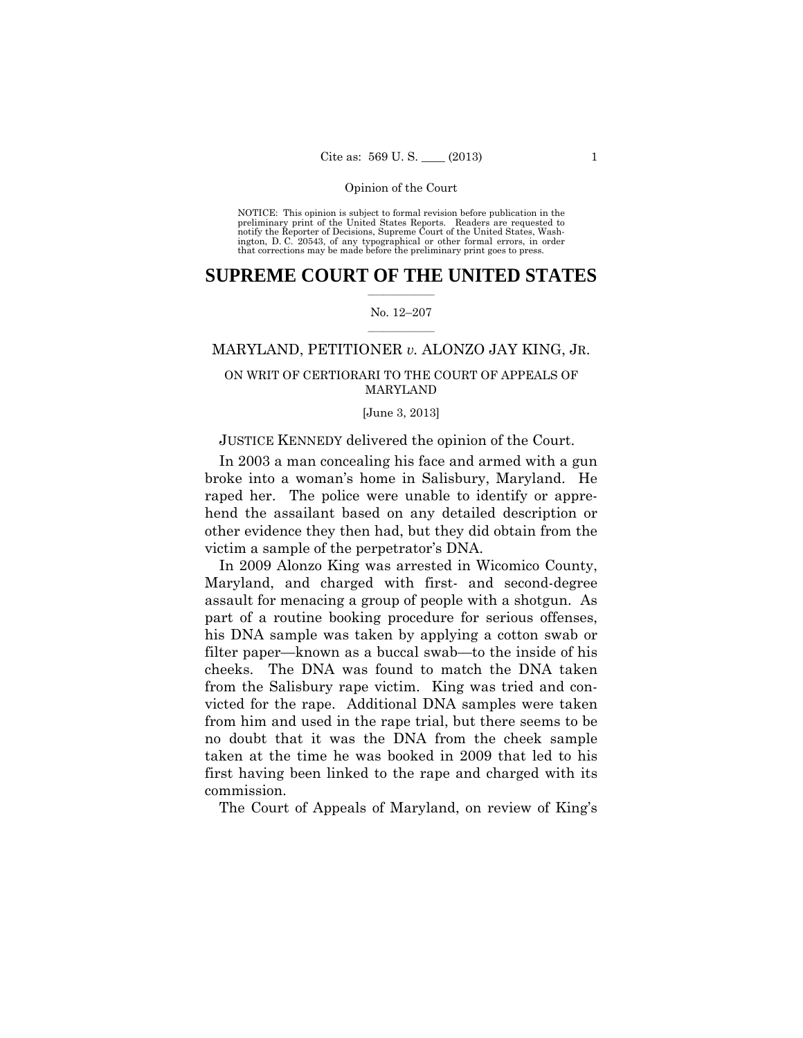preliminary print of the United States Reports. Readers are requested to notify the Reporter of Decisions, Supreme Court of the United States, Wash- ington, D. C. 20543, of any typographical or other formal errors, in order that corrections may be made before the preliminary print goes to press. NOTICE: This opinion is subject to formal revision before publication in the

## $\frac{1}{2}$  ,  $\frac{1}{2}$  ,  $\frac{1}{2}$  ,  $\frac{1}{2}$  ,  $\frac{1}{2}$  ,  $\frac{1}{2}$  ,  $\frac{1}{2}$ **SUPREME COURT OF THE UNITED STATES**

### $\frac{1}{2}$  ,  $\frac{1}{2}$  ,  $\frac{1}{2}$  ,  $\frac{1}{2}$  ,  $\frac{1}{2}$  ,  $\frac{1}{2}$ No. 12–207

# MARYLAND, PETITIONER *v.* ALONZO JAY KING, JR.

## ON WRIT OF CERTIORARI TO THE COURT OF APPEALS OF MARYLAND

### [June 3, 2013]

# JUSTICE KENNEDY delivered the opinion of the Court.

In 2003 a man concealing his face and armed with a gun broke into a woman's home in Salisbury, Maryland. He raped her. The police were unable to identify or apprehend the assailant based on any detailed description or other evidence they then had, but they did obtain from the victim a sample of the perpetrator's DNA.

In 2009 Alonzo King was arrested in Wicomico County, Maryland, and charged with first- and second-degree assault for menacing a group of people with a shotgun. As part of a routine booking procedure for serious offenses, his DNA sample was taken by applying a cotton swab or filter paper—known as a buccal swab—to the inside of his cheeks. The DNA was found to match the DNA taken from the Salisbury rape victim. King was tried and convicted for the rape. Additional DNA samples were taken from him and used in the rape trial, but there seems to be no doubt that it was the DNA from the cheek sample taken at the time he was booked in 2009 that led to his first having been linked to the rape and charged with its commission.

The Court of Appeals of Maryland, on review of King's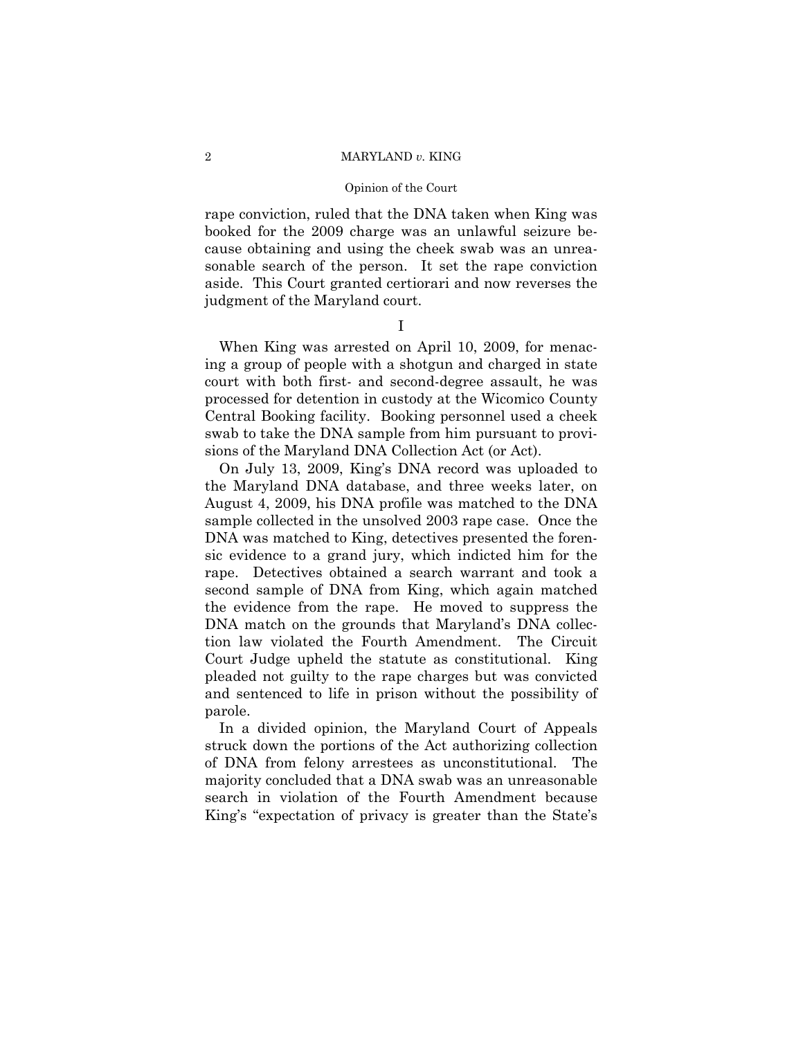#### Opinion of the Court

rape conviction, ruled that the DNA taken when King was booked for the 2009 charge was an unlawful seizure because obtaining and using the cheek swab was an unreasonable search of the person. It set the rape conviction aside. This Court granted certiorari and now reverses the judgment of the Maryland court.

I

When King was arrested on April 10, 2009, for menacing a group of people with a shotgun and charged in state court with both first- and second-degree assault, he was processed for detention in custody at the Wicomico County Central Booking facility. Booking personnel used a cheek swab to take the DNA sample from him pursuant to provisions of the Maryland DNA Collection Act (or Act).

On July 13, 2009, King's DNA record was uploaded to the Maryland DNA database, and three weeks later, on August 4, 2009, his DNA profile was matched to the DNA sample collected in the unsolved 2003 rape case. Once the DNA was matched to King, detectives presented the forensic evidence to a grand jury, which indicted him for the rape. Detectives obtained a search warrant and took a second sample of DNA from King, which again matched the evidence from the rape. He moved to suppress the DNA match on the grounds that Maryland's DNA collection law violated the Fourth Amendment. The Circuit Court Judge upheld the statute as constitutional. King pleaded not guilty to the rape charges but was convicted and sentenced to life in prison without the possibility of parole.

In a divided opinion, the Maryland Court of Appeals struck down the portions of the Act authorizing collection of DNA from felony arrestees as unconstitutional. The majority concluded that a DNA swab was an unreasonable search in violation of the Fourth Amendment because King's "expectation of privacy is greater than the State's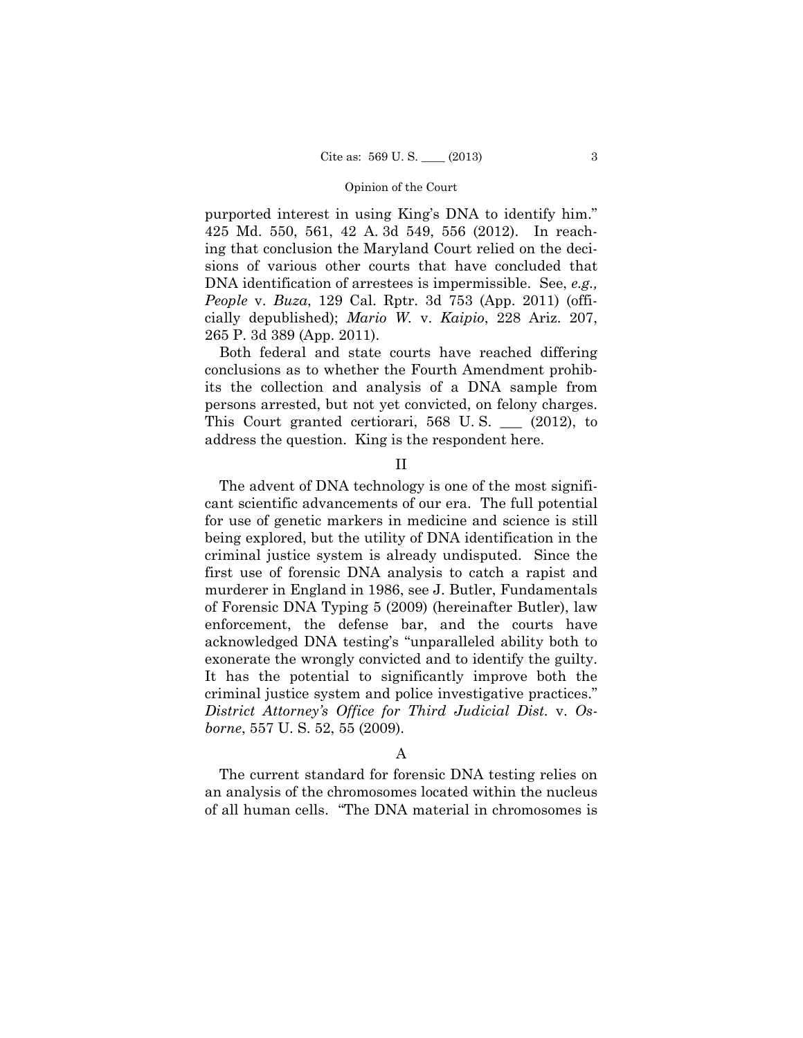425 Md. 550, 561, 42 A. 3d 549, 556 (2012). In reachpurported interest in using King's DNA to identify him." ing that conclusion the Maryland Court relied on the decisions of various other courts that have concluded that DNA identification of arrestees is impermissible. See, *e.g., People* v. *Buza*, 129 Cal. Rptr. 3d 753 (App. 2011) (officially depublished); *Mario W.* v. *Kaipio*, 228 Ariz. 207, 265 P. 3d 389 (App. 2011).

Both federal and state courts have reached differing conclusions as to whether the Fourth Amendment prohibits the collection and analysis of a DNA sample from persons arrested, but not yet convicted, on felony charges. This Court granted certiorari, 568 U. S. \_\_\_ (2012), to address the question. King is the respondent here.

## II

The advent of DNA technology is one of the most significant scientific advancements of our era. The full potential for use of genetic markers in medicine and science is still being explored, but the utility of DNA identification in the criminal justice system is already undisputed. Since the first use of forensic DNA analysis to catch a rapist and murderer in England in 1986, see J. Butler, Fundamentals of Forensic DNA Typing 5 (2009) (hereinafter Butler), law enforcement, the defense bar, and the courts have acknowledged DNA testing's "unparalleled ability both to exonerate the wrongly convicted and to identify the guilty. It has the potential to significantly improve both the criminal justice system and police investigative practices." *District Attorney's Office for Third Judicial Dist.* v. *Osborne*, 557 U. S. 52, 55 (2009).

## A

The current standard for forensic DNA testing relies on an analysis of the chromosomes located within the nucleus of all human cells. "The DNA material in chromosomes is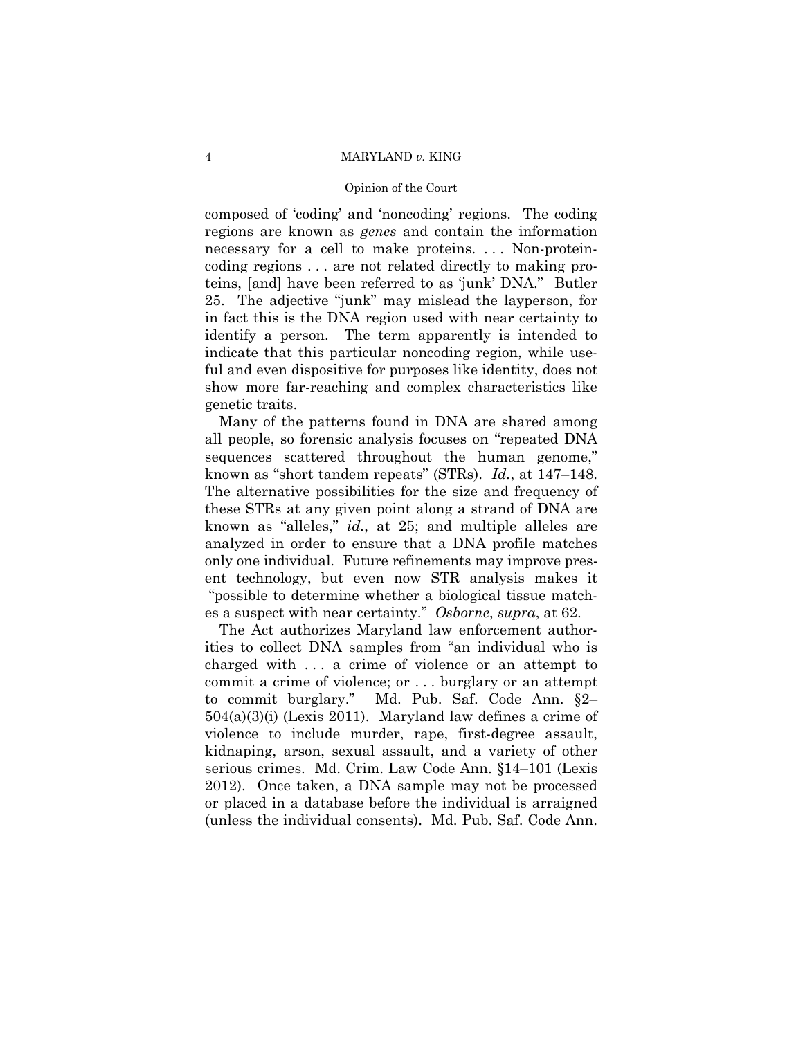### Opinion of the Court

composed of 'coding' and 'noncoding' regions. The coding regions are known as *genes* and contain the information necessary for a cell to make proteins. ... Non-proteincoding regions . . . are not related directly to making proteins, [and] have been referred to as 'junk' DNA." Butler 25. The adjective "junk" may mislead the layperson, for in fact this is the DNA region used with near certainty to identify a person. The term apparently is intended to indicate that this particular noncoding region, while useful and even dispositive for purposes like identity, does not show more far-reaching and complex characteristics like genetic traits.

Many of the patterns found in DNA are shared among all people, so forensic analysis focuses on "repeated DNA sequences scattered throughout the human genome," known as "short tandem repeats" (STRs). *Id.*, at 147–148. The alternative possibilities for the size and frequency of these STRs at any given point along a strand of DNA are known as "alleles," *id.*, at 25; and multiple alleles are analyzed in order to ensure that a DNA profile matches only one individual. Future refinements may improve present technology, but even now STR analysis makes it "possible to determine whether a biological tissue matches a suspect with near certainty." *Osborne*, *supra*, at 62.

The Act authorizes Maryland law enforcement authorities to collect DNA samples from "an individual who is charged with . . . a crime of violence or an attempt to commit a crime of violence; or . . . burglary or an attempt to commit burglary." Md. Pub. Saf. Code Ann. §2– 504(a)(3)(i) (Lexis 2011). Maryland law defines a crime of violence to include murder, rape, first-degree assault, kidnaping, arson, sexual assault, and a variety of other serious crimes. Md. Crim. Law Code Ann. §14–101 (Lexis 2012). Once taken, a DNA sample may not be processed or placed in a database before the individual is arraigned (unless the individual consents). Md. Pub. Saf. Code Ann.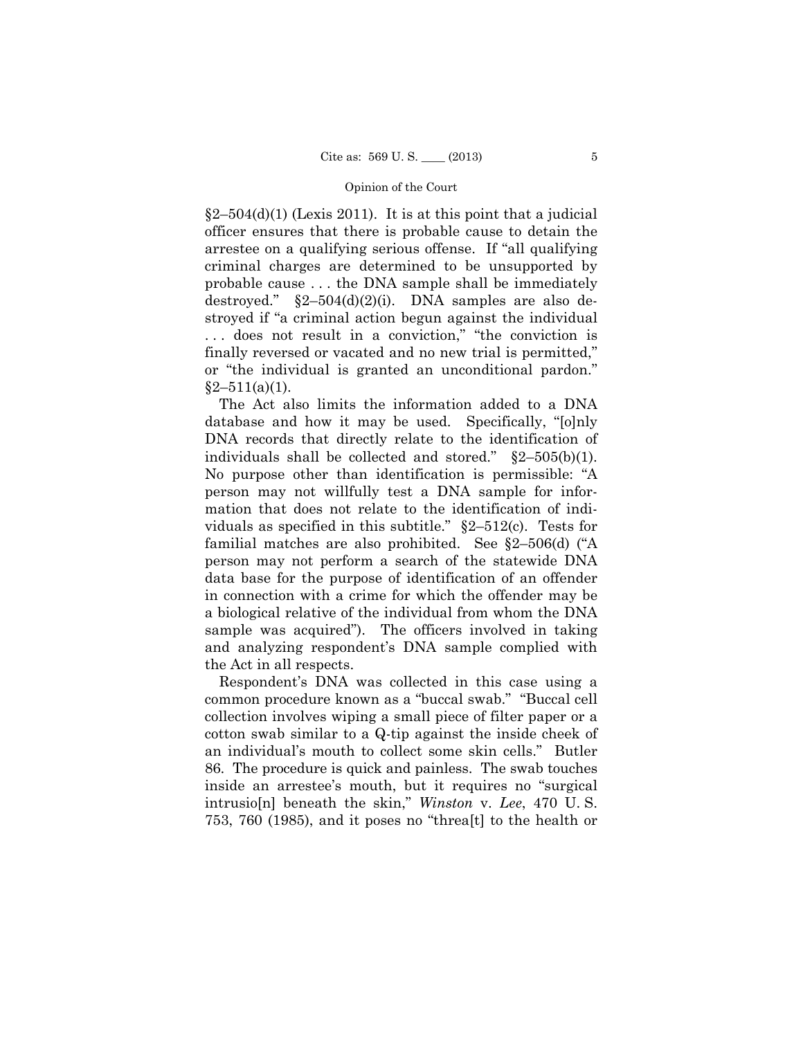$\S2-504(d)(1)$  (Lexis 2011). It is at this point that a judicial officer ensures that there is probable cause to detain the arrestee on a qualifying serious offense. If "all qualifying criminal charges are determined to be unsupported by probable cause . . . the DNA sample shall be immediately destroyed." §2–504(d)(2)(i). DNA samples are also destroyed if "a criminal action begun against the individual . . . does not result in a conviction," "the conviction is finally reversed or vacated and no new trial is permitted," or "the individual is granted an unconditional pardon."  $\frac{$2-511(a)(1)}{4}$ .

individuals shall be collected and stored."  $\S2-505(b)(1)$ . The Act also limits the information added to a DNA database and how it may be used. Specifically, "[o]nly DNA records that directly relate to the identification of No purpose other than identification is permissible: "A person may not willfully test a DNA sample for information that does not relate to the identification of individuals as specified in this subtitle." §2–512(c). Tests for familial matches are also prohibited. See §2–506(d) ("A person may not perform a search of the statewide DNA data base for the purpose of identification of an offender in connection with a crime for which the offender may be a biological relative of the individual from whom the DNA sample was acquired"). The officers involved in taking and analyzing respondent's DNA sample complied with the Act in all respects.

Respondent's DNA was collected in this case using a common procedure known as a "buccal swab." "Buccal cell collection involves wiping a small piece of filter paper or a cotton swab similar to a Q-tip against the inside cheek of an individual's mouth to collect some skin cells." Butler 86. The procedure is quick and painless. The swab touches inside an arrestee's mouth, but it requires no "surgical intrusio[n] beneath the skin," *Winston* v. *Lee*, 470 U. S. 753, 760 (1985), and it poses no "threa[t] to the health or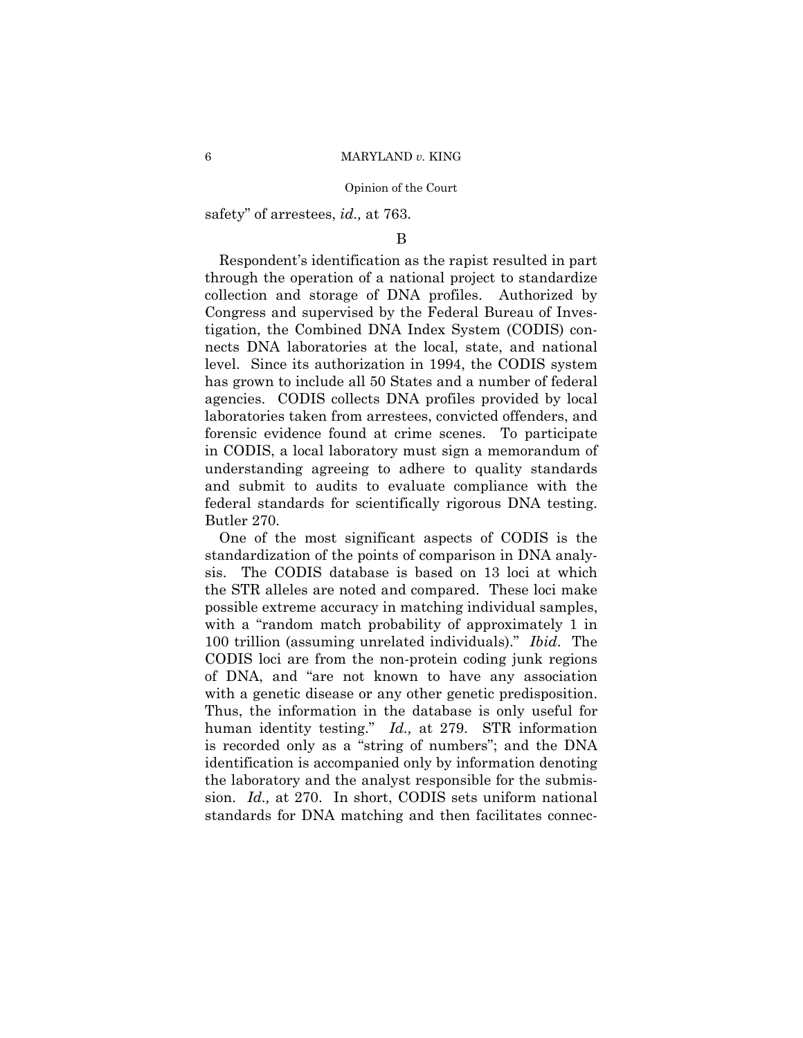safety" of arrestees, *id.,* at 763.

## B

Respondent's identification as the rapist resulted in part through the operation of a national project to standardize collection and storage of DNA profiles. Authorized by Congress and supervised by the Federal Bureau of Investigation, the Combined DNA Index System (CODIS) connects DNA laboratories at the local, state, and national level. Since its authorization in 1994, the CODIS system has grown to include all 50 States and a number of federal agencies. CODIS collects DNA profiles provided by local laboratories taken from arrestees, convicted offenders, and forensic evidence found at crime scenes. To participate in CODIS, a local laboratory must sign a memorandum of understanding agreeing to adhere to quality standards and submit to audits to evaluate compliance with the federal standards for scientifically rigorous DNA testing. Butler 270.

One of the most significant aspects of CODIS is the standardization of the points of comparison in DNA analysis. The CODIS database is based on 13 loci at which the STR alleles are noted and compared. These loci make possible extreme accuracy in matching individual samples, with a "random match probability of approximately 1 in 100 trillion (assuming unrelated individuals)." *Ibid*. The CODIS loci are from the non-protein coding junk regions of DNA, and "are not known to have any association with a genetic disease or any other genetic predisposition. Thus, the information in the database is only useful for human identity testing." *Id.,* at 279. STR information is recorded only as a "string of numbers"; and the DNA identification is accompanied only by information denoting the laboratory and the analyst responsible for the submission. *Id.,* at 270. In short, CODIS sets uniform national standards for DNA matching and then facilitates connec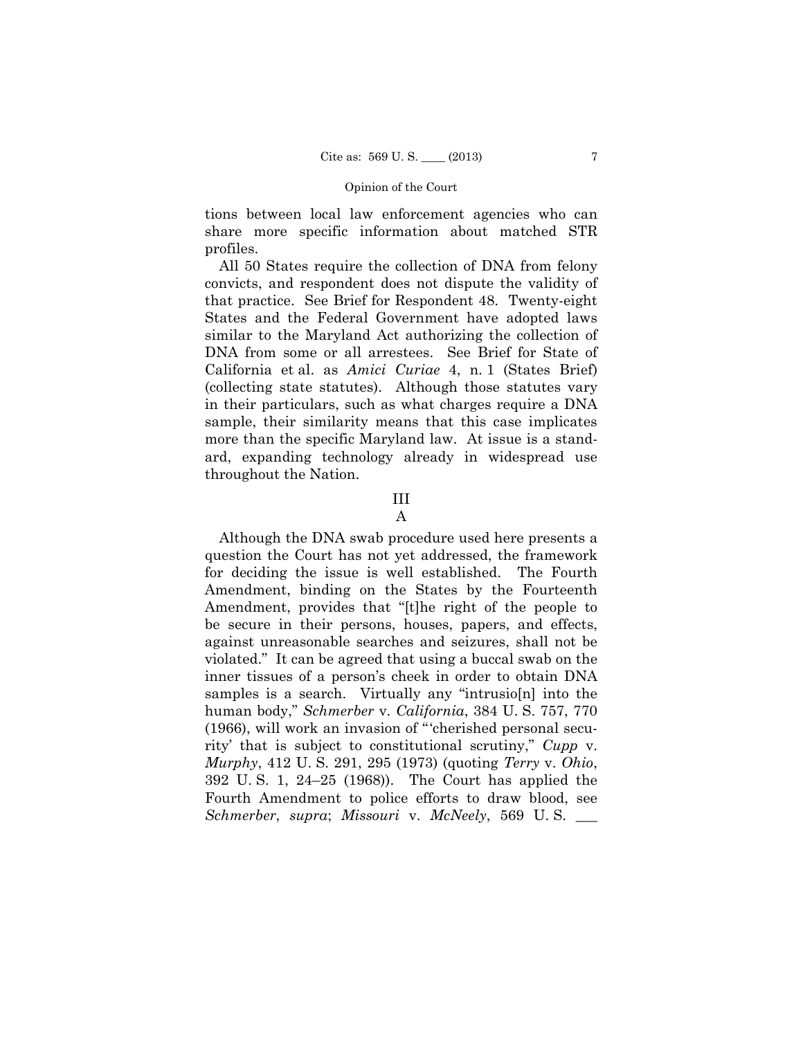tions between local law enforcement agencies who can share more specific information about matched STR profiles.

All 50 States require the collection of DNA from felony convicts, and respondent does not dispute the validity of that practice. See Brief for Respondent 48. Twenty-eight States and the Federal Government have adopted laws similar to the Maryland Act authorizing the collection of DNA from some or all arrestees. See Brief for State of California et al. as *Amici Curiae* 4, n. 1 (States Brief) (collecting state statutes). Although those statutes vary in their particulars, such as what charges require a DNA sample, their similarity means that this case implicates more than the specific Maryland law. At issue is a standard, expanding technology already in widespread use throughout the Nation.

# III

# A

 392 U. S. 1, 24–25 (1968)). The Court has applied the Although the DNA swab procedure used here presents a question the Court has not yet addressed, the framework for deciding the issue is well established. The Fourth Amendment, binding on the States by the Fourteenth Amendment, provides that "[t]he right of the people to be secure in their persons, houses, papers, and effects, against unreasonable searches and seizures, shall not be violated." It can be agreed that using a buccal swab on the inner tissues of a person's cheek in order to obtain DNA samples is a search. Virtually any "intrusio[n] into the human body," *Schmerber* v. *California*, 384 U. S. 757, 770 (1966), will work an invasion of "'cherished personal security' that is subject to constitutional scrutiny," *Cupp* v. *Murphy*, 412 U. S. 291, 295 (1973) (quoting *Terry* v. *Ohio*, Fourth Amendment to police efforts to draw blood, see *Schmerber*, *supra*; *Missouri* v. *McNeely*, 569 U. S. \_\_\_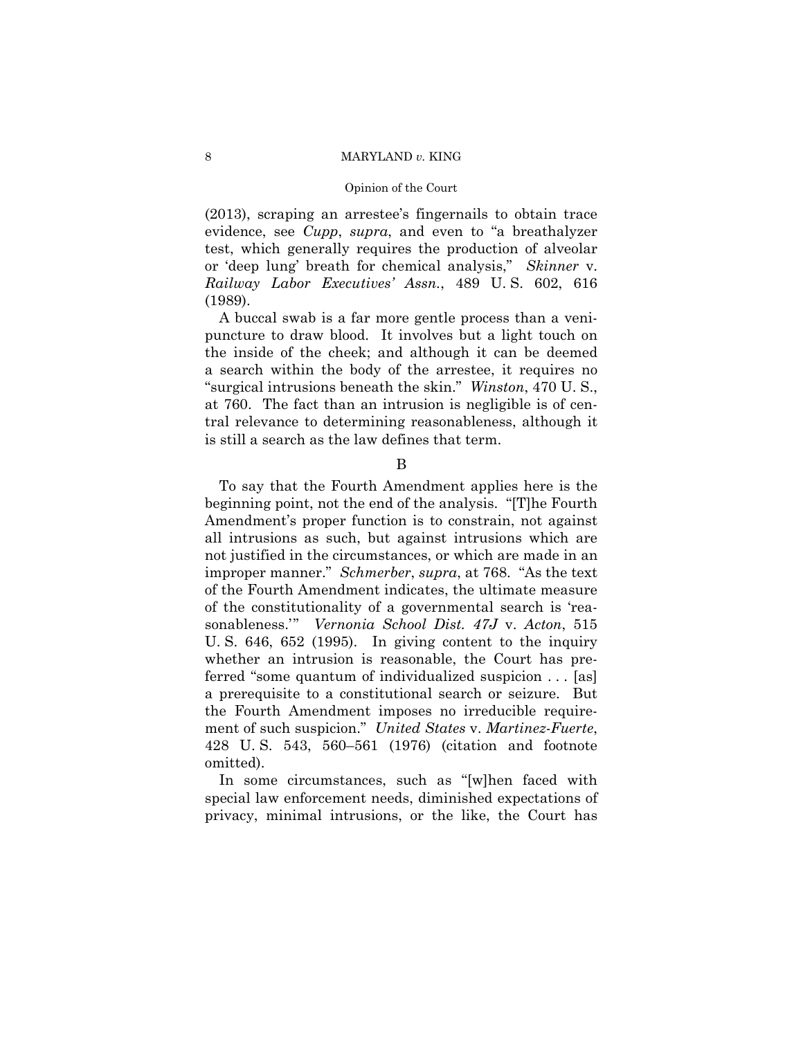#### Opinion of the Court

(2013), scraping an arrestee's fingernails to obtain trace evidence, see *Cupp*, *supra*, and even to "a breathalyzer test, which generally requires the production of alveolar or 'deep lung' breath for chemical analysis," *Skinner* v. *Railway Labor Executives' Assn.*, 489 U. S. 602, 616 (1989).

A buccal swab is a far more gentle process than a venipuncture to draw blood. It involves but a light touch on the inside of the cheek; and although it can be deemed a search within the body of the arrestee, it requires no "surgical intrusions beneath the skin." *Winston*, 470 U. S., at 760. The fact than an intrusion is negligible is of central relevance to determining reasonableness, although it is still a search as the law defines that term.

B

To say that the Fourth Amendment applies here is the beginning point, not the end of the analysis. "[T]he Fourth Amendment's proper function is to constrain, not against all intrusions as such, but against intrusions which are not justified in the circumstances, or which are made in an improper manner." *Schmerber*, *supra*, at 768. "As the text of the Fourth Amendment indicates, the ultimate measure of the constitutionality of a governmental search is 'reasonableness.'" *Vernonia School Dist. 47J* v. *Acton*, 515 U. S. 646, 652 (1995). In giving content to the inquiry whether an intrusion is reasonable, the Court has preferred "some quantum of individualized suspicion . . . [as] a prerequisite to a constitutional search or seizure. But the Fourth Amendment imposes no irreducible requirement of such suspicion." *United States* v. *Martinez-Fuerte*, 428 U. S. 543, 560–561 (1976) (citation and footnote omitted).

In some circumstances, such as "[w]hen faced with special law enforcement needs, diminished expectations of privacy, minimal intrusions, or the like, the Court has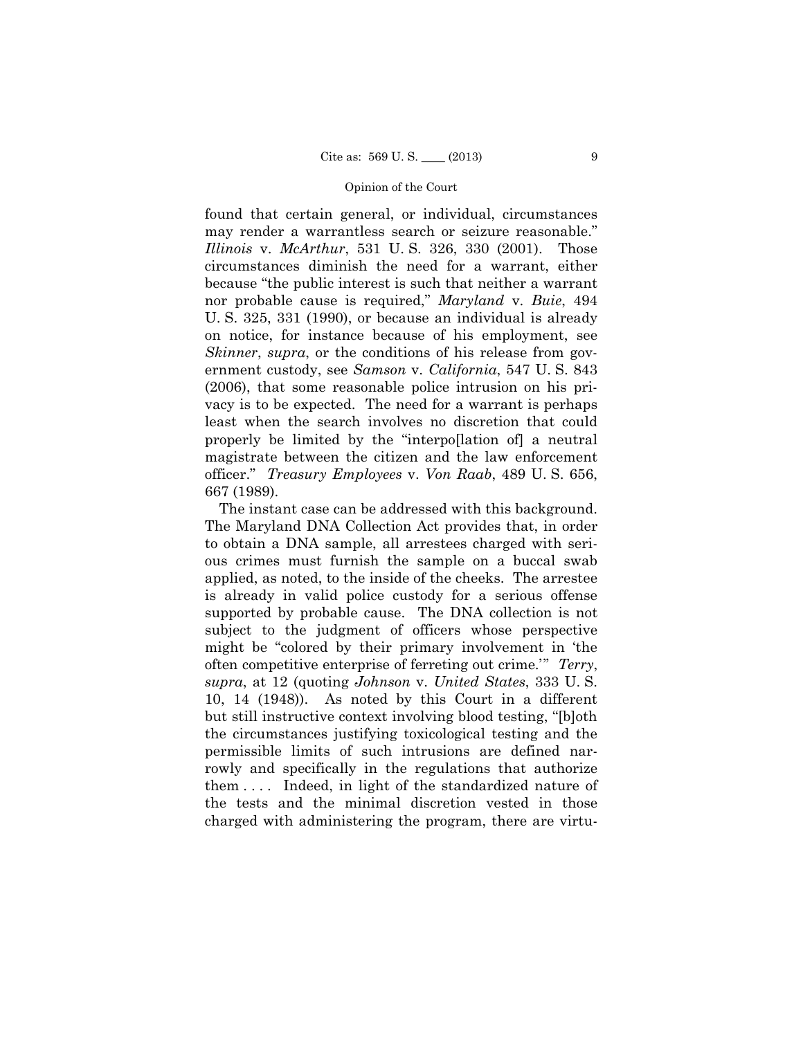found that certain general, or individual, circumstances may render a warrantless search or seizure reasonable." *Illinois* v. *McArthur*, 531 U. S. 326, 330 (2001). Those circumstances diminish the need for a warrant, either because "the public interest is such that neither a warrant nor probable cause is required," *Maryland* v. *Buie*, 494 U. S. 325, 331 (1990), or because an individual is already on notice, for instance because of his employment, see *Skinner*, *supra*, or the conditions of his release from government custody, see *Samson* v. *California*, 547 U. S. 843 (2006), that some reasonable police intrusion on his privacy is to be expected. The need for a warrant is perhaps least when the search involves no discretion that could properly be limited by the "interpo[lation of] a neutral magistrate between the citizen and the law enforcement officer." *Treasury Employees* v. *Von Raab*, 489 U. S. 656, 667 (1989).

The instant case can be addressed with this background. The Maryland DNA Collection Act provides that, in order to obtain a DNA sample, all arrestees charged with serious crimes must furnish the sample on a buccal swab applied, as noted, to the inside of the cheeks. The arrestee is already in valid police custody for a serious offense supported by probable cause. The DNA collection is not subject to the judgment of officers whose perspective might be "colored by their primary involvement in 'the often competitive enterprise of ferreting out crime.'" *Terry*, *supra*, at 12 (quoting *Johnson* v. *United States*, 333 U. S. 10, 14 (1948)). As noted by this Court in a different but still instructive context involving blood testing, "[b]oth the circumstances justifying toxicological testing and the permissible limits of such intrusions are defined narrowly and specifically in the regulations that authorize them . . . . Indeed, in light of the standardized nature of the tests and the minimal discretion vested in those charged with administering the program, there are virtu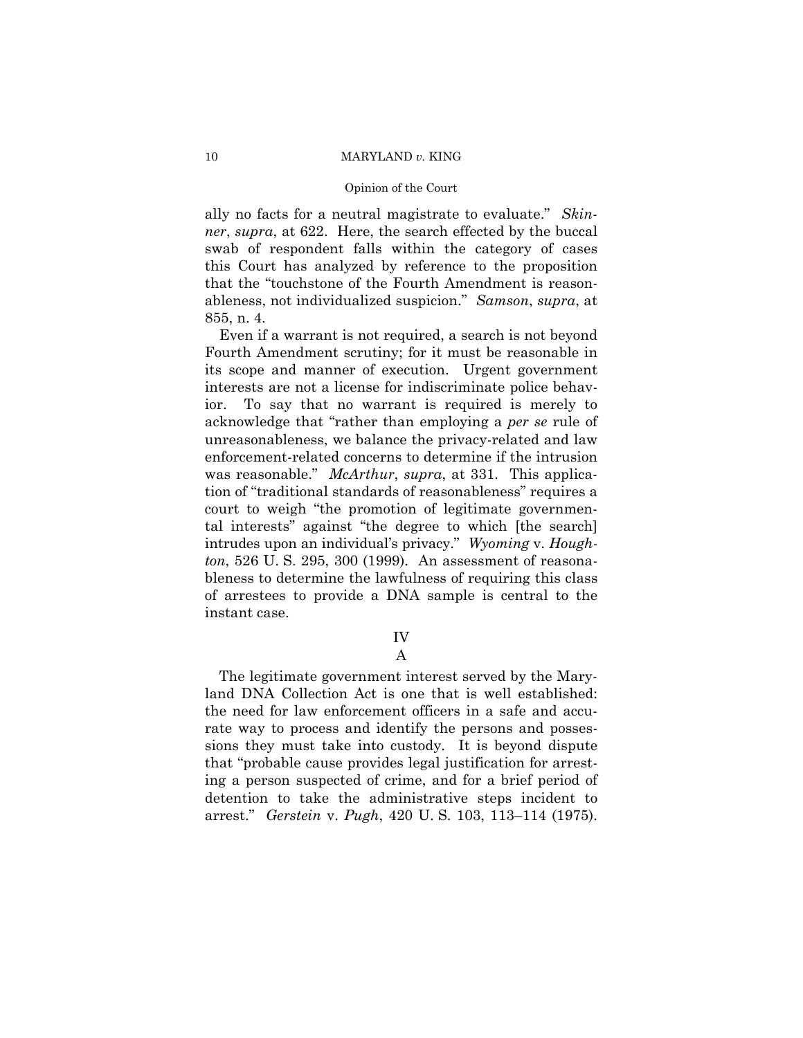#### Opinion of the Court

ally no facts for a neutral magistrate to evaluate." *Skinner*, *supra*, at 622. Here, the search effected by the buccal swab of respondent falls within the category of cases this Court has analyzed by reference to the proposition that the "touchstone of the Fourth Amendment is reasonableness, not individualized suspicion." *Samson*, *supra*, at 855, n. 4.

Even if a warrant is not required, a search is not beyond Fourth Amendment scrutiny; for it must be reasonable in its scope and manner of execution. Urgent government interests are not a license for indiscriminate police behavior. To say that no warrant is required is merely to acknowledge that "rather than employing a *per se* rule of unreasonableness, we balance the privacy-related and law enforcement-related concerns to determine if the intrusion was reasonable." *McArthur*, *supra*, at 331. This application of "traditional standards of reasonableness" requires a court to weigh "the promotion of legitimate governmental interests" against "the degree to which [the search] intrudes upon an individual's privacy." *Wyoming* v. *Houghton*, 526 U. S. 295, 300 (1999). An assessment of reasonableness to determine the lawfulness of requiring this class of arrestees to provide a DNA sample is central to the instant case.

# IV

A

The legitimate government interest served by the Maryland DNA Collection Act is one that is well established: the need for law enforcement officers in a safe and accurate way to process and identify the persons and possessions they must take into custody. It is beyond dispute that "probable cause provides legal justification for arresting a person suspected of crime, and for a brief period of detention to take the administrative steps incident to arrest." *Gerstein* v. *Pugh*, 420 U. S. 103, 113–114 (1975).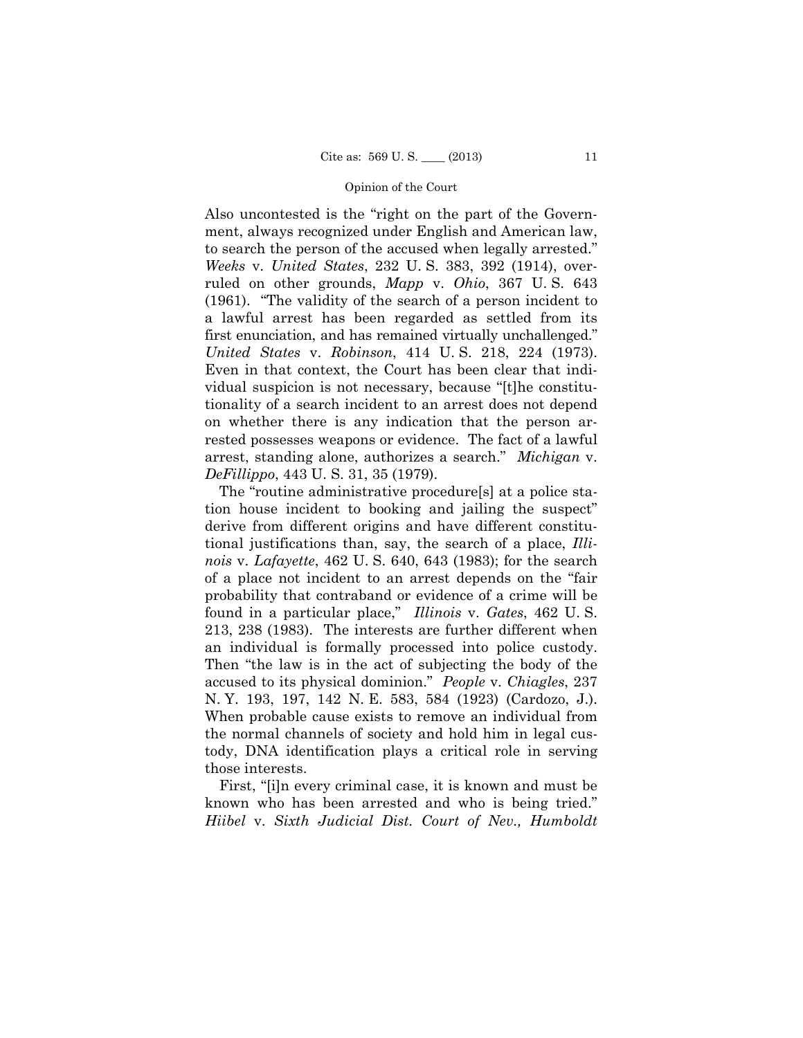Also uncontested is the "right on the part of the Government, always recognized under English and American law, to search the person of the accused when legally arrested." *Weeks* v. *United States*, 232 U. S. 383, 392 (1914), overruled on other grounds, *Mapp* v. *Ohio*, 367 U. S. 643 (1961). "The validity of the search of a person incident to a lawful arrest has been regarded as settled from its first enunciation, and has remained virtually unchallenged." *United States* v. *Robinson*, 414 U. S. 218, 224 (1973). Even in that context, the Court has been clear that individual suspicion is not necessary, because "[t]he constitutionality of a search incident to an arrest does not depend on whether there is any indication that the person arrested possesses weapons or evidence. The fact of a lawful arrest, standing alone, authorizes a search." *Michigan* v. *DeFillippo*, 443 U. S. 31, 35 (1979).

The "routine administrative procedure[s] at a police station house incident to booking and jailing the suspect" derive from different origins and have different constitutional justifications than, say, the search of a place, *Illinois* v. *Lafayette*, 462 U. S. 640, 643 (1983); for the search of a place not incident to an arrest depends on the "fair probability that contraband or evidence of a crime will be found in a particular place," *Illinois* v. *Gates*, 462 U. S. 213, 238 (1983). The interests are further different when an individual is formally processed into police custody. Then "the law is in the act of subjecting the body of the accused to its physical dominion." *People* v. *Chiagles*, 237 N. Y. 193, 197, 142 N. E. 583, 584 (1923) (Cardozo, J.). When probable cause exists to remove an individual from the normal channels of society and hold him in legal custody, DNA identification plays a critical role in serving those interests.

First, "[i]n every criminal case, it is known and must be known who has been arrested and who is being tried." *Hiibel* v. *Sixth Judicial Dist. Court of Nev., Humboldt*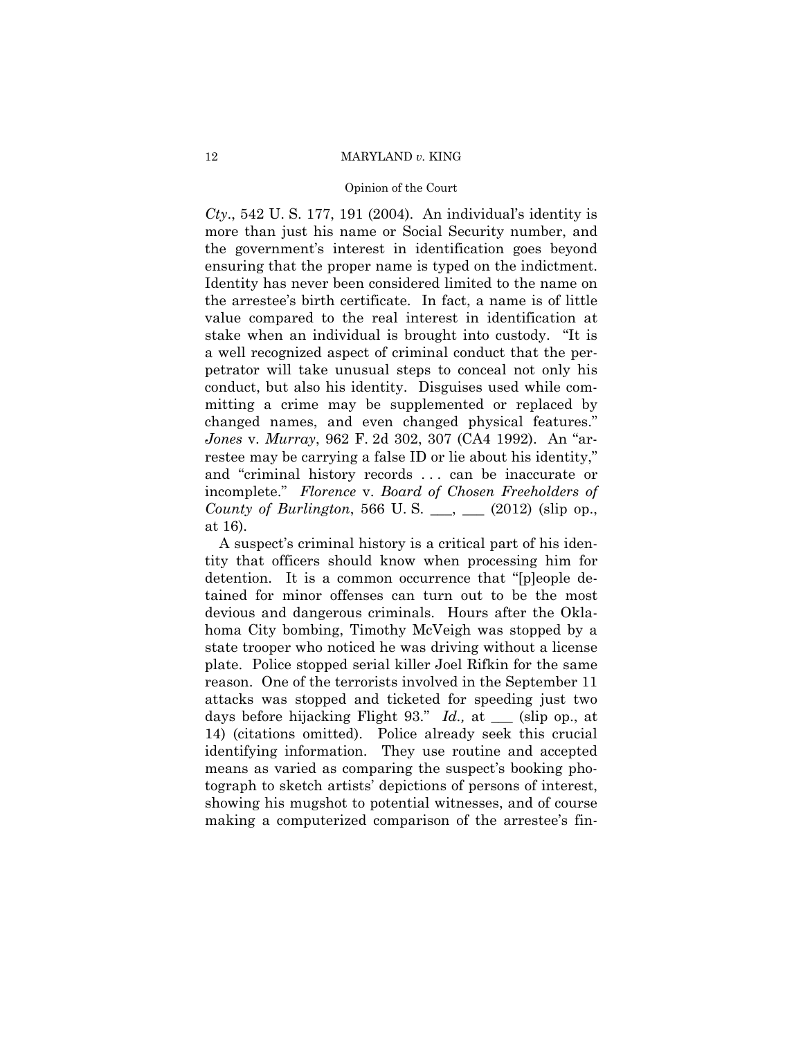#### Opinion of the Court

 incomplete." *Florence* v. *Board of Chosen Freeholders of Cty*., 542 U. S. 177, 191 (2004). An individual's identity is more than just his name or Social Security number, and the government's interest in identification goes beyond ensuring that the proper name is typed on the indictment. Identity has never been considered limited to the name on the arrestee's birth certificate. In fact, a name is of little value compared to the real interest in identification at stake when an individual is brought into custody. "It is a well recognized aspect of criminal conduct that the perpetrator will take unusual steps to conceal not only his conduct, but also his identity. Disguises used while committing a crime may be supplemented or replaced by changed names, and even changed physical features." *Jones* v. *Murray*, 962 F. 2d 302, 307 (CA4 1992). An "arrestee may be carrying a false ID or lie about his identity," and "criminal history records . . . can be inaccurate or *County of Burlington*, 566 U.S. \_\_, \_\_ (2012) (slip op., at 16).

A suspect's criminal history is a critical part of his identity that officers should know when processing him for detention. It is a common occurrence that "[p]eople detained for minor offenses can turn out to be the most devious and dangerous criminals. Hours after the Oklahoma City bombing, Timothy McVeigh was stopped by a state trooper who noticed he was driving without a license plate. Police stopped serial killer Joel Rifkin for the same reason. One of the terrorists involved in the September 11 attacks was stopped and ticketed for speeding just two days before hijacking Flight 93." *Id.,* at \_\_\_ (slip op., at 14) (citations omitted). Police already seek this crucial identifying information. They use routine and accepted means as varied as comparing the suspect's booking photograph to sketch artists' depictions of persons of interest, showing his mugshot to potential witnesses, and of course making a computerized comparison of the arrestee's fin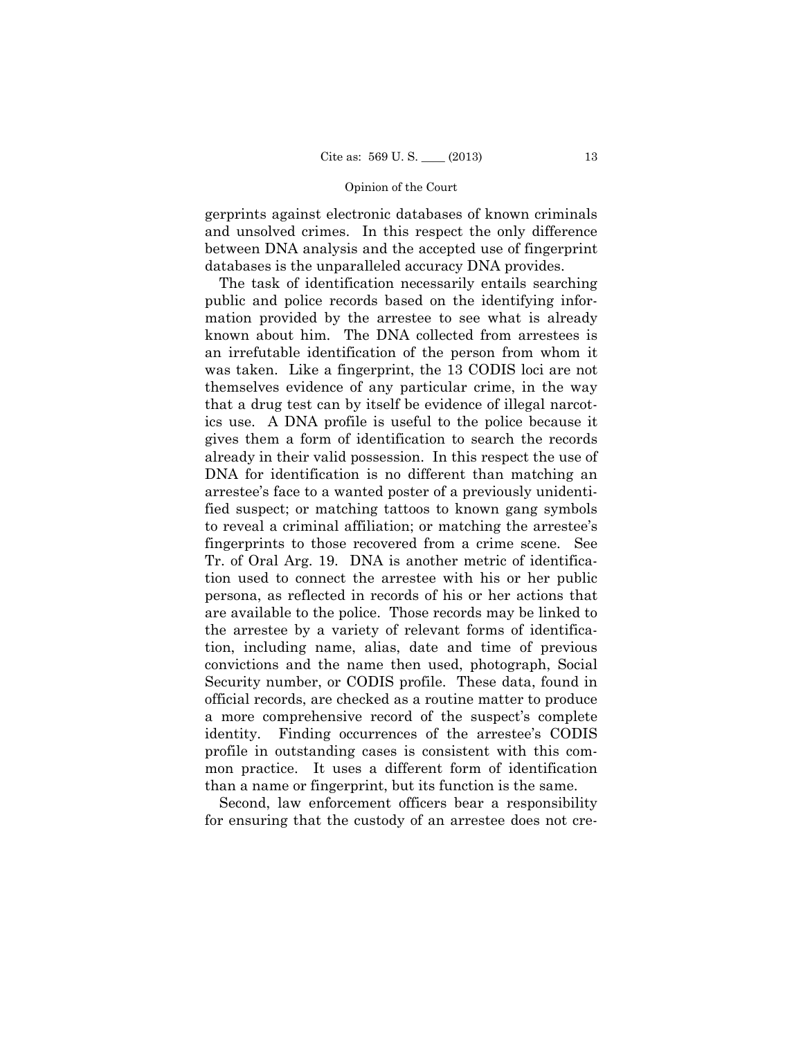gerprints against electronic databases of known criminals and unsolved crimes. In this respect the only difference between DNA analysis and the accepted use of fingerprint databases is the unparalleled accuracy DNA provides.

 Tr. of Oral Arg. 19. DNA is another metric of identifica-The task of identification necessarily entails searching public and police records based on the identifying information provided by the arrestee to see what is already known about him. The DNA collected from arrestees is an irrefutable identification of the person from whom it was taken. Like a fingerprint, the 13 CODIS loci are not themselves evidence of any particular crime, in the way that a drug test can by itself be evidence of illegal narcotics use. A DNA profile is useful to the police because it gives them a form of identification to search the records already in their valid possession. In this respect the use of DNA for identification is no different than matching an arrestee's face to a wanted poster of a previously unidentified suspect; or matching tattoos to known gang symbols to reveal a criminal affiliation; or matching the arrestee's fingerprints to those recovered from a crime scene. See tion used to connect the arrestee with his or her public persona, as reflected in records of his or her actions that are available to the police. Those records may be linked to the arrestee by a variety of relevant forms of identification, including name, alias, date and time of previous convictions and the name then used, photograph, Social Security number, or CODIS profile. These data, found in official records, are checked as a routine matter to produce a more comprehensive record of the suspect's complete identity. Finding occurrences of the arrestee's CODIS profile in outstanding cases is consistent with this common practice. It uses a different form of identification than a name or fingerprint, but its function is the same.

Second, law enforcement officers bear a responsibility for ensuring that the custody of an arrestee does not cre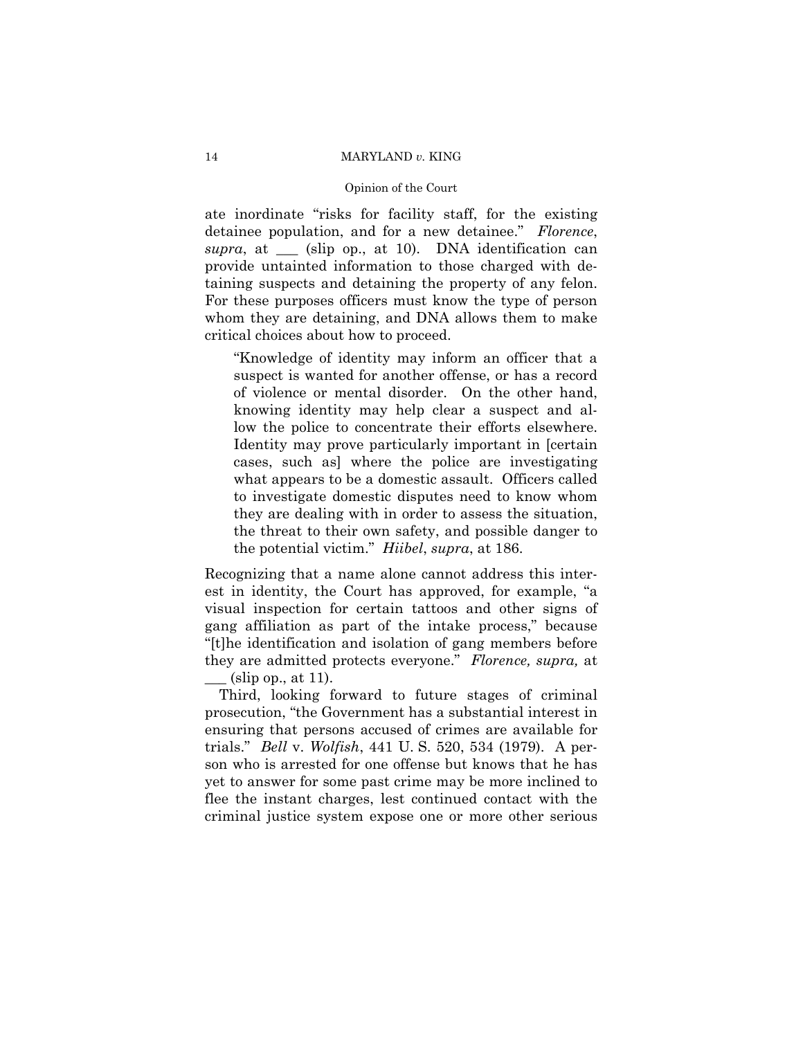#### Opinion of the Court

ate inordinate "risks for facility staff, for the existing detainee population, and for a new detainee." *Florence*, *supra*, at \_\_\_ (slip op., at 10). DNA identification can provide untainted information to those charged with detaining suspects and detaining the property of any felon. For these purposes officers must know the type of person whom they are detaining, and DNA allows them to make critical choices about how to proceed.

"Knowledge of identity may inform an officer that a suspect is wanted for another offense, or has a record of violence or mental disorder. On the other hand, knowing identity may help clear a suspect and allow the police to concentrate their efforts elsewhere. Identity may prove particularly important in [certain cases, such as] where the police are investigating what appears to be a domestic assault. Officers called to investigate domestic disputes need to know whom they are dealing with in order to assess the situation, the threat to their own safety, and possible danger to the potential victim." *Hiibel*, *supra*, at 186.

Recognizing that a name alone cannot address this interest in identity, the Court has approved, for example, "a visual inspection for certain tattoos and other signs of gang affiliation as part of the intake process," because "[t]he identification and isolation of gang members before they are admitted protects everyone." *Florence, supra,* at  $_{\_}$  (slip op., at 11).

Third, looking forward to future stages of criminal prosecution, "the Government has a substantial interest in ensuring that persons accused of crimes are available for trials." *Bell* v. *Wolfish*, 441 U. S. 520, 534 (1979). A person who is arrested for one offense but knows that he has yet to answer for some past crime may be more inclined to flee the instant charges, lest continued contact with the criminal justice system expose one or more other serious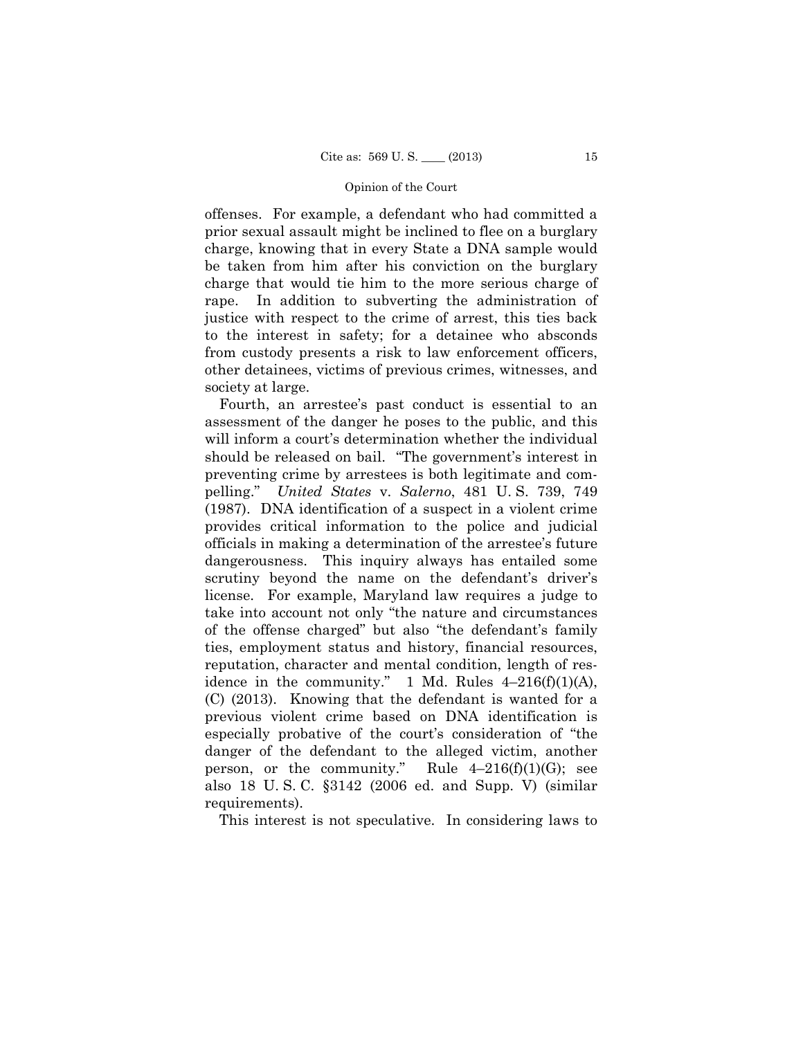offenses. For example, a defendant who had committed a prior sexual assault might be inclined to flee on a burglary charge, knowing that in every State a DNA sample would be taken from him after his conviction on the burglary charge that would tie him to the more serious charge of rape. In addition to subverting the administration of justice with respect to the crime of arrest, this ties back to the interest in safety; for a detainee who absconds from custody presents a risk to law enforcement officers, other detainees, victims of previous crimes, witnesses, and society at large.

Fourth, an arrestee's past conduct is essential to an assessment of the danger he poses to the public, and this will inform a court's determination whether the individual should be released on bail. "The government's interest in preventing crime by arrestees is both legitimate and compelling." *United States* v. *Salerno*, 481 U. S. 739, 749 (1987). DNA identification of a suspect in a violent crime provides critical information to the police and judicial officials in making a determination of the arrestee's future dangerousness. This inquiry always has entailed some scrutiny beyond the name on the defendant's driver's license. For example, Maryland law requires a judge to take into account not only "the nature and circumstances of the offense charged" but also "the defendant's family ties, employment status and history, financial resources, reputation, character and mental condition, length of residence in the community." 1 Md. Rules  $4-216(f)(1)(A)$ , (C) (2013). Knowing that the defendant is wanted for a previous violent crime based on DNA identification is especially probative of the court's consideration of "the danger of the defendant to the alleged victim, another person, or the community." Rule  $4{\text -}216(f)(1)(G)$ ; see also 18 U. S. C. §3142 (2006 ed. and Supp. V) (similar requirements).

This interest is not speculative. In considering laws to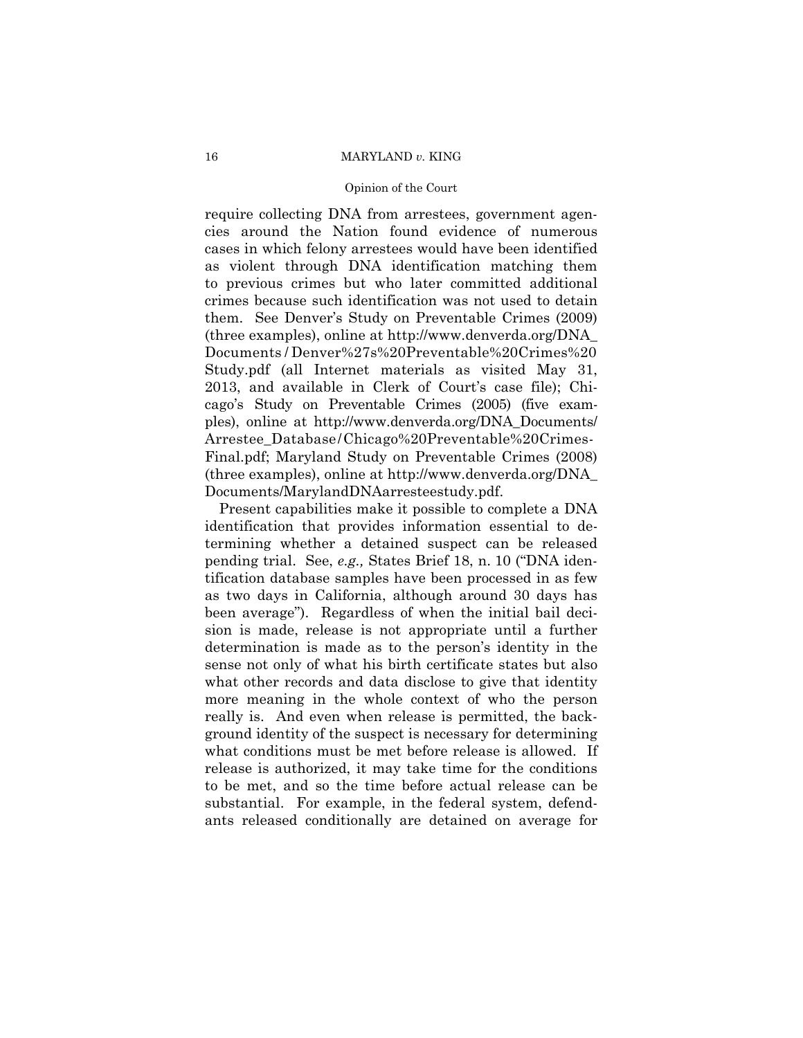#### Opinion of the Court

require collecting DNA from arrestees, government agencies around the Nation found evidence of numerous cases in which felony arrestees would have been identified as violent through DNA identification matching them to previous crimes but who later committed additional crimes because such identification was not used to detain them. See Denver's Study on Preventable Crimes (2009) (three examples), online at http://www.denverda.org/DNA\_ Documents / Denver%27s%20Preventable%20Crimes%20 Study.pdf (all Internet materials as visited May 31, 2013, and available in Clerk of Court's case file); Chicago's Study on Preventable Crimes (2005) (five examples), online at http://www.denverda.org/DNA\_Documents/ Arrestee\_Database/Chicago%20Preventable%20Crimes-Final.pdf; Maryland Study on Preventable Crimes (2008) (three examples), online at http://www.denverda.org/DNA\_ Documents/MarylandDNAarresteestudy.pdf.

Present capabilities make it possible to complete a DNA identification that provides information essential to determining whether a detained suspect can be released pending trial. See, *e.g.,* States Brief 18, n. 10 ("DNA identification database samples have been processed in as few as two days in California, although around 30 days has been average"). Regardless of when the initial bail decision is made, release is not appropriate until a further determination is made as to the person's identity in the sense not only of what his birth certificate states but also what other records and data disclose to give that identity more meaning in the whole context of who the person really is. And even when release is permitted, the background identity of the suspect is necessary for determining what conditions must be met before release is allowed. If release is authorized, it may take time for the conditions to be met, and so the time before actual release can be substantial. For example, in the federal system, defendants released conditionally are detained on average for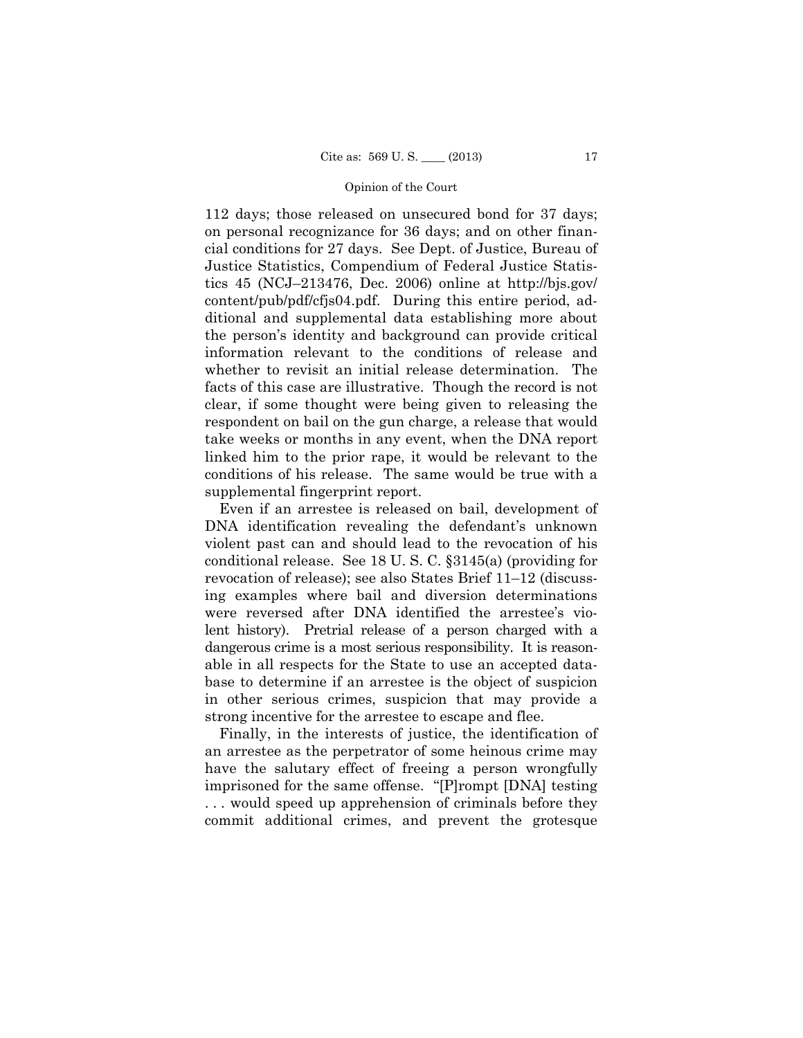112 days; those released on unsecured bond for 37 days; on personal recognizance for 36 days; and on other financial conditions for 27 days. See Dept. of Justice, Bureau of Justice Statistics, Compendium of Federal Justice Statistics 45 (NCJ–213476, Dec. 2006) online at http://bjs.gov/ content/pub/pdf/cfjs04.pdf. During this entire period, additional and supplemental data establishing more about the person's identity and background can provide critical information relevant to the conditions of release and whether to revisit an initial release determination. The facts of this case are illustrative. Though the record is not clear, if some thought were being given to releasing the respondent on bail on the gun charge, a release that would take weeks or months in any event, when the DNA report linked him to the prior rape, it would be relevant to the conditions of his release. The same would be true with a supplemental fingerprint report.

Even if an arrestee is released on bail, development of DNA identification revealing the defendant's unknown violent past can and should lead to the revocation of his conditional release. See 18 U. S. C. §3145(a) (providing for revocation of release); see also States Brief 11–12 (discussing examples where bail and diversion determinations were reversed after DNA identified the arrestee's violent history). Pretrial release of a person charged with a dangerous crime is a most serious responsibility. It is reasonable in all respects for the State to use an accepted database to determine if an arrestee is the object of suspicion in other serious crimes, suspicion that may provide a strong incentive for the arrestee to escape and flee.

Finally, in the interests of justice, the identification of an arrestee as the perpetrator of some heinous crime may have the salutary effect of freeing a person wrongfully imprisoned for the same offense. "[P]rompt [DNA] testing . . . would speed up apprehension of criminals before they commit additional crimes, and prevent the grotesque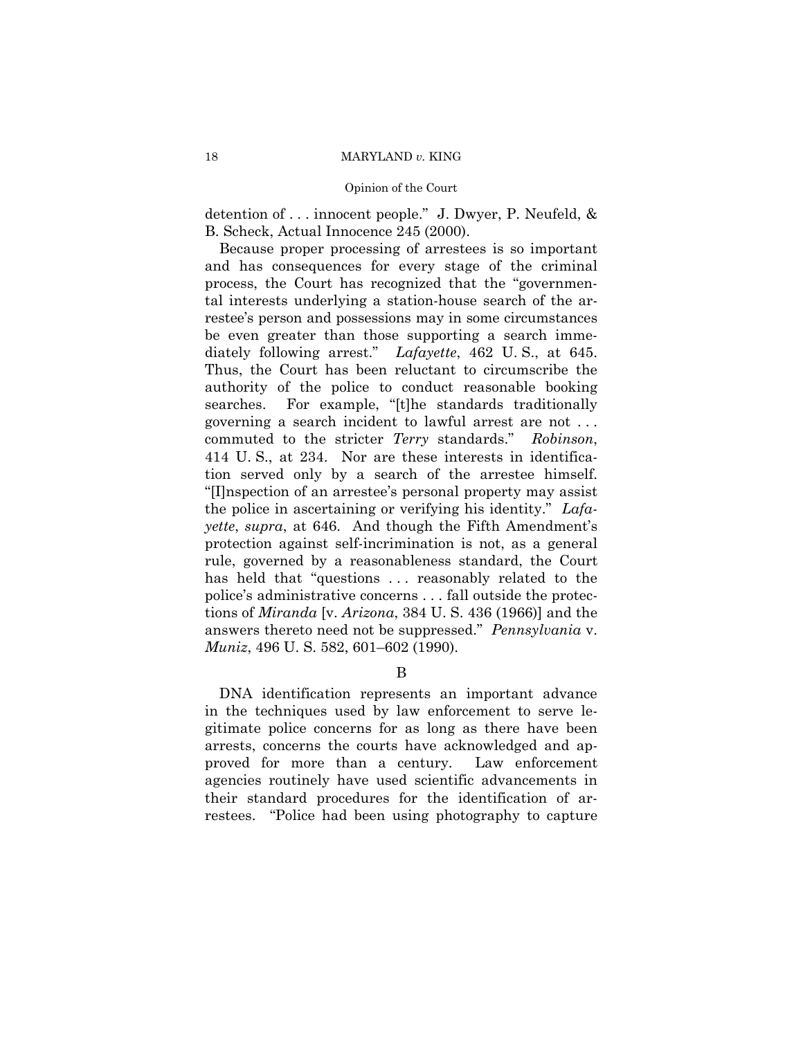detention of . . . innocent people." J. Dwyer, P. Neufeld, & B. Scheck, Actual Innocence 245 (2000).

 diately following arrest." *Lafayette*, 462 U. S., at 645. Thus, the Court has been reluctant to circumscribe the Because proper processing of arrestees is so important and has consequences for every stage of the criminal process, the Court has recognized that the "governmental interests underlying a station-house search of the arrestee's person and possessions may in some circumstances be even greater than those supporting a search immeauthority of the police to conduct reasonable booking searches. For example, "[t]he standards traditionally governing a search incident to lawful arrest are not . . . commuted to the stricter *Terry* standards." *Robinson*, 414 U. S., at 234. Nor are these interests in identification served only by a search of the arrestee himself. "[I]nspection of an arrestee's personal property may assist the police in ascertaining or verifying his identity." *Lafayette*, *supra*, at 646. And though the Fifth Amendment's protection against self-incrimination is not, as a general rule, governed by a reasonableness standard, the Court has held that "questions ... reasonably related to the police's administrative concerns . . . fall outside the protections of *Miranda* [v. *Arizona*, 384 U. S. 436 (1966)] and the answers thereto need not be suppressed." *Pennsylvania* v. *Muniz*, 496 U. S. 582, 601–602 (1990).

B

DNA identification represents an important advance in the techniques used by law enforcement to serve legitimate police concerns for as long as there have been arrests, concerns the courts have acknowledged and approved for more than a century. Law enforcement agencies routinely have used scientific advancements in their standard procedures for the identification of arrestees. "Police had been using photography to capture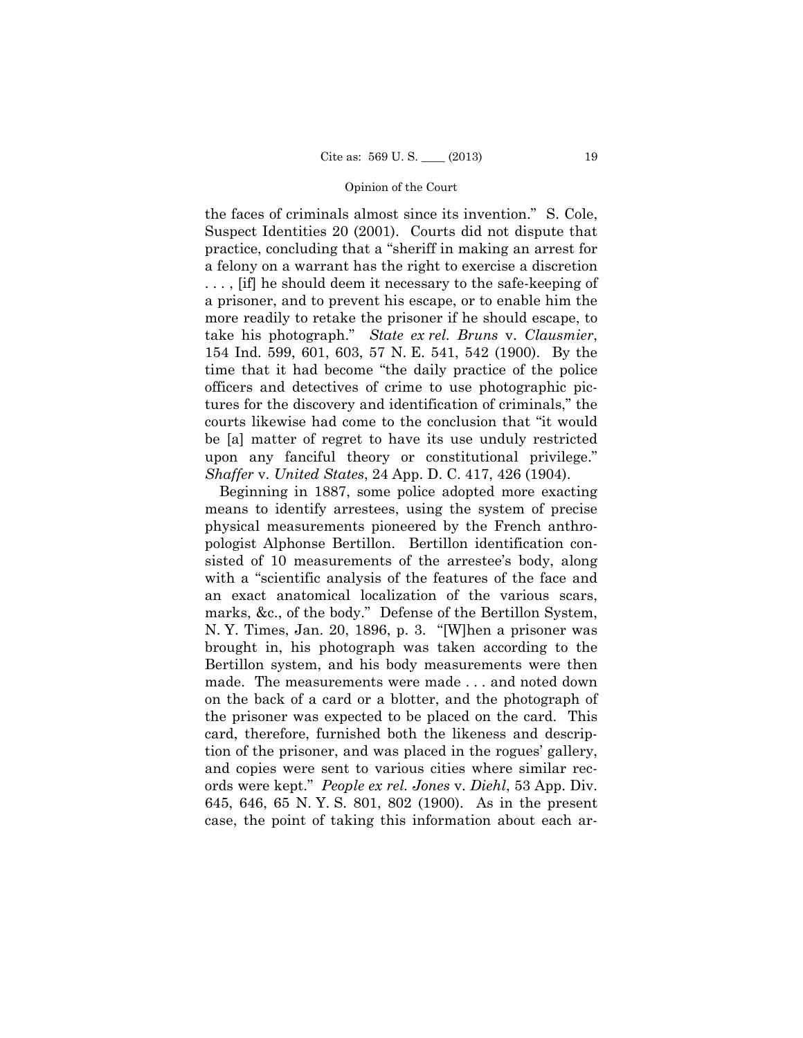the faces of criminals almost since its invention." S. Cole, Suspect Identities 20 (2001). Courts did not dispute that practice, concluding that a "sheriff in making an arrest for a felony on a warrant has the right to exercise a discretion . . . , [if] he should deem it necessary to the safe-keeping of a prisoner, and to prevent his escape, or to enable him the more readily to retake the prisoner if he should escape, to take his photograph." *State ex rel. Bruns* v. *Clausmier*, 154 Ind. 599, 601, 603, 57 N. E. 541, 542 (1900). By the time that it had become "the daily practice of the police officers and detectives of crime to use photographic pictures for the discovery and identification of criminals," the courts likewise had come to the conclusion that "it would be [a] matter of regret to have its use unduly restricted upon any fanciful theory or constitutional privilege." *Shaffer* v. *United States*, 24 App. D. C. 417, 426 (1904).

Beginning in 1887, some police adopted more exacting means to identify arrestees, using the system of precise physical measurements pioneered by the French anthropologist Alphonse Bertillon. Bertillon identification consisted of 10 measurements of the arrestee's body, along with a "scientific analysis of the features of the face and an exact anatomical localization of the various scars, marks, &c., of the body." Defense of the Bertillon System, N. Y. Times, Jan. 20, 1896, p. 3. "[W]hen a prisoner was brought in, his photograph was taken according to the Bertillon system, and his body measurements were then made. The measurements were made . . . and noted down on the back of a card or a blotter, and the photograph of the prisoner was expected to be placed on the card. This card, therefore, furnished both the likeness and description of the prisoner, and was placed in the rogues' gallery, and copies were sent to various cities where similar records were kept." *People ex rel. Jones* v. *Diehl*, 53 App. Div. 645, 646, 65 N. Y. S. 801, 802 (1900). As in the present case, the point of taking this information about each ar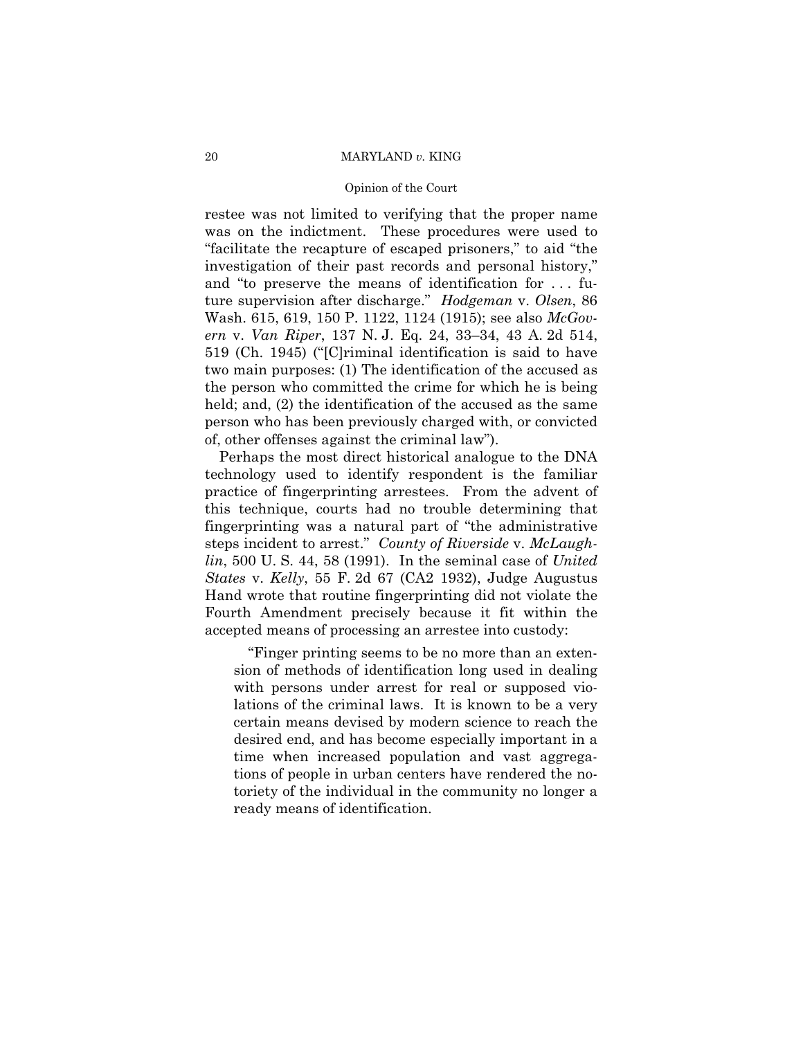### Opinion of the Court

restee was not limited to verifying that the proper name was on the indictment. These procedures were used to "facilitate the recapture of escaped prisoners," to aid "the investigation of their past records and personal history," and "to preserve the means of identification for . . . future supervision after discharge." *Hodgeman* v. *Olsen*, 86 Wash. 615, 619, 150 P. 1122, 1124 (1915); see also *McGovern* v. *Van Riper*, 137 N. J. Eq. 24, 33–34, 43 A. 2d 514, 519 (Ch. 1945) ("[C]riminal identification is said to have two main purposes: (1) The identification of the accused as the person who committed the crime for which he is being held; and, (2) the identification of the accused as the same person who has been previously charged with, or convicted of, other offenses against the criminal law").

 steps incident to arrest." *County of Riverside* v. *McLaugh-*Perhaps the most direct historical analogue to the DNA technology used to identify respondent is the familiar practice of fingerprinting arrestees. From the advent of this technique, courts had no trouble determining that fingerprinting was a natural part of "the administrative *lin*, 500 U. S. 44, 58 (1991). In the seminal case of *United States* v. *Kelly*, 55 F. 2d 67 (CA2 1932), Judge Augustus Hand wrote that routine fingerprinting did not violate the Fourth Amendment precisely because it fit within the accepted means of processing an arrestee into custody:

"Finger printing seems to be no more than an extension of methods of identification long used in dealing with persons under arrest for real or supposed violations of the criminal laws. It is known to be a very certain means devised by modern science to reach the desired end, and has become especially important in a time when increased population and vast aggregations of people in urban centers have rendered the notoriety of the individual in the community no longer a ready means of identification.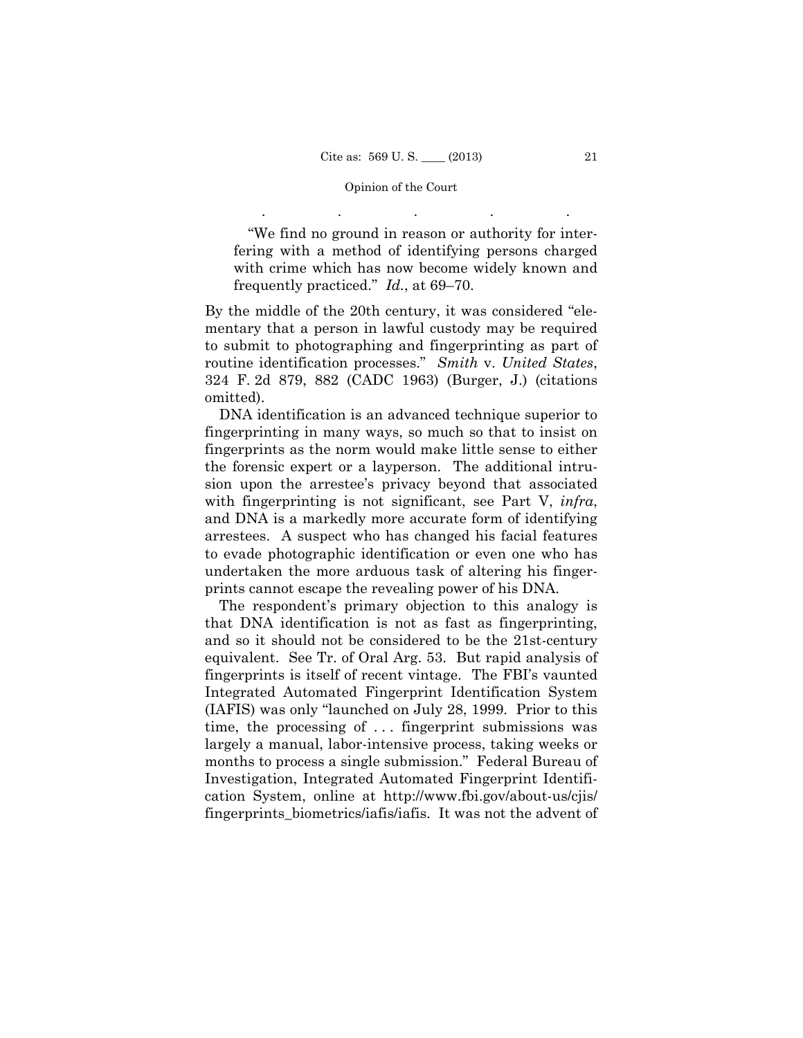"We find no ground in reason or authority for interfering with a method of identifying persons charged with crime which has now become widely known and frequently practiced." *Id.*, at 69–70.

. . . . .

By the middle of the 20th century, it was considered "elementary that a person in lawful custody may be required to submit to photographing and fingerprinting as part of routine identification processes." *Smith* v. *United States*, 324 F. 2d 879, 882 (CADC 1963) (Burger, J.) (citations omitted).

DNA identification is an advanced technique superior to fingerprinting in many ways, so much so that to insist on fingerprints as the norm would make little sense to either the forensic expert or a layperson. The additional intrusion upon the arrestee's privacy beyond that associated with fingerprinting is not significant, see Part V, *infra*, and DNA is a markedly more accurate form of identifying arrestees. A suspect who has changed his facial features to evade photographic identification or even one who has undertaken the more arduous task of altering his fingerprints cannot escape the revealing power of his DNA.

The respondent's primary objection to this analogy is that DNA identification is not as fast as fingerprinting, and so it should not be considered to be the 21st-century equivalent. See Tr. of Oral Arg. 53. But rapid analysis of fingerprints is itself of recent vintage. The FBI's vaunted Integrated Automated Fingerprint Identification System (IAFIS) was only "launched on July 28, 1999. Prior to this time, the processing of . . . fingerprint submissions was largely a manual, labor-intensive process, taking weeks or months to process a single submission." Federal Bureau of Investigation, Integrated Automated Fingerprint Identification System, online at http://www.fbi.gov/about-us/cjis/ fingerprints\_biometrics/iafis/iafis. It was not the advent of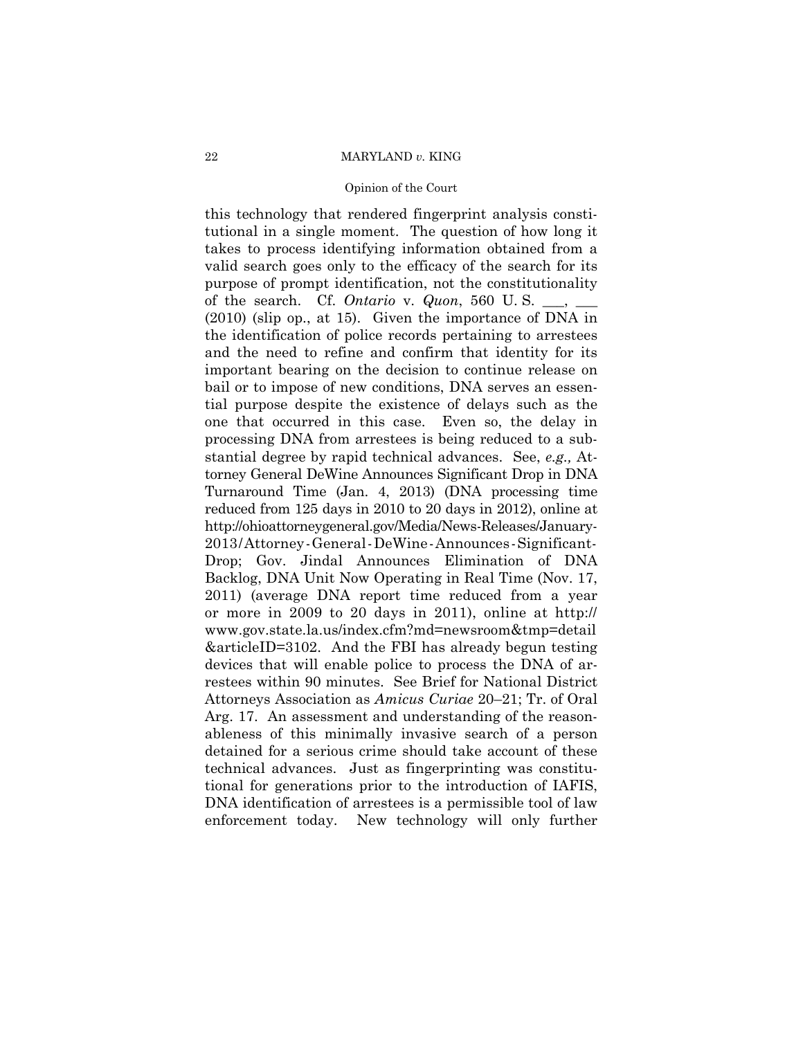#### Opinion of the Court

 reduced from 125 days in 2010 to 20 days in 2012), online at this technology that rendered fingerprint analysis constitutional in a single moment. The question of how long it takes to process identifying information obtained from a valid search goes only to the efficacy of the search for its purpose of prompt identification, not the constitutionality of the search. Cf. *Ontario* v. *Quon*, 560 U.S. (2010) (slip op., at 15). Given the importance of DNA in the identification of police records pertaining to arrestees and the need to refine and confirm that identity for its important bearing on the decision to continue release on bail or to impose of new conditions, DNA serves an essential purpose despite the existence of delays such as the one that occurred in this case. Even so, the delay in processing DNA from arrestees is being reduced to a substantial degree by rapid technical advances. See, *e.g.,* Attorney General DeWine Announces Significant Drop in DNA Turnaround Time (Jan. 4, 2013) (DNA processing time http://ohioattorneygeneral.gov/Media/News-Releases/January-2013/Attorney-General-DeWine-Announces-Significant-Drop; Gov. Jindal Announces Elimination of DNA Backlog, DNA Unit Now Operating in Real Time (Nov. 17, 2011) (average DNA report time reduced from a year or more in 2009 to 20 days in 2011), online at http:// www.gov.state.la.us/index.cfm?md=newsroom&tmp=detail &articleID=3102. And the FBI has already begun testing devices that will enable police to process the DNA of arrestees within 90 minutes. See Brief for National District Attorneys Association as *Amicus Curiae* 20–21; Tr. of Oral Arg. 17. An assessment and understanding of the reasonableness of this minimally invasive search of a person detained for a serious crime should take account of these technical advances. Just as fingerprinting was constitutional for generations prior to the introduction of IAFIS, DNA identification of arrestees is a permissible tool of law enforcement today. New technology will only further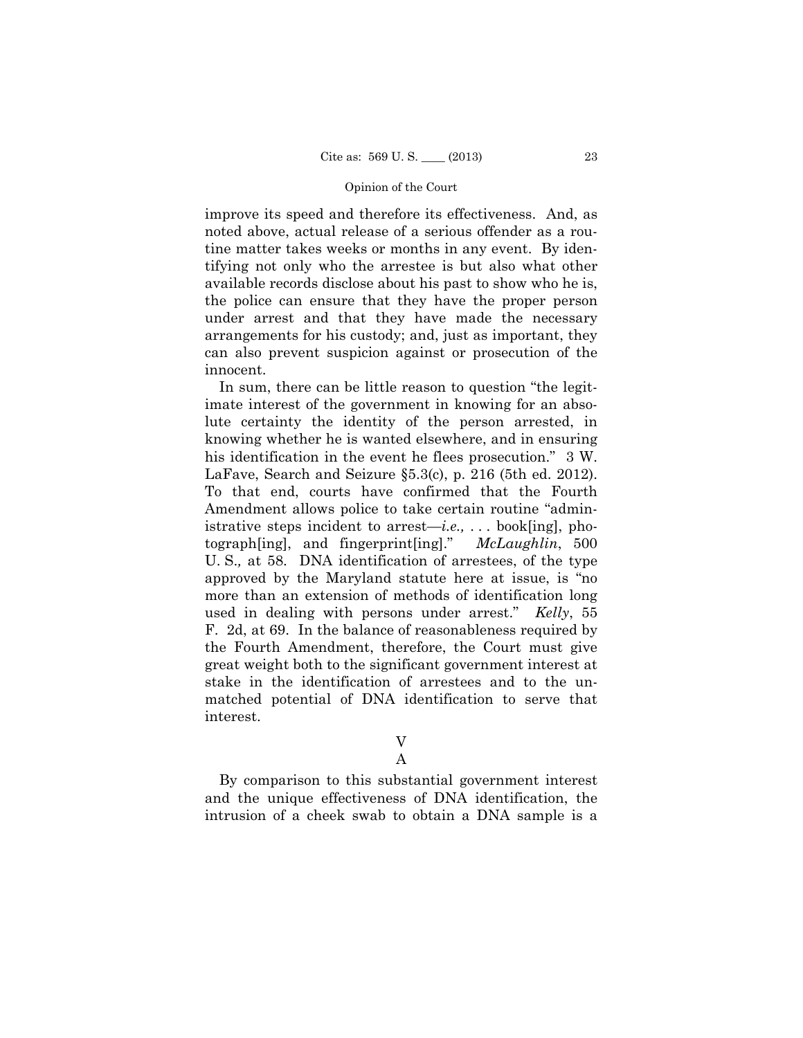improve its speed and therefore its effectiveness. And, as noted above, actual release of a serious offender as a routine matter takes weeks or months in any event. By identifying not only who the arrestee is but also what other available records disclose about his past to show who he is, the police can ensure that they have the proper person under arrest and that they have made the necessary arrangements for his custody; and, just as important, they can also prevent suspicion against or prosecution of the innocent.

F. 2d, at 69. In the balance of reasonableness required by In sum, there can be little reason to question "the legitimate interest of the government in knowing for an absolute certainty the identity of the person arrested, in knowing whether he is wanted elsewhere, and in ensuring his identification in the event he flees prosecution." 3 W. LaFave, Search and Seizure §5.3(c), p. 216 (5th ed. 2012). To that end, courts have confirmed that the Fourth Amendment allows police to take certain routine "administrative steps incident to arrest—*i.e., . . .* book[ing], photograph[ing], and fingerprint[ing]." *McLaughlin*, 500 U. S.*,* at 58. DNA identification of arrestees, of the type approved by the Maryland statute here at issue, is "no more than an extension of methods of identification long used in dealing with persons under arrest." *Kelly*, 55 the Fourth Amendment, therefore, the Court must give great weight both to the significant government interest at stake in the identification of arrestees and to the unmatched potential of DNA identification to serve that interest.

By comparison to this substantial government interest and the unique effectiveness of DNA identification, the intrusion of a cheek swab to obtain a DNA sample is a

V A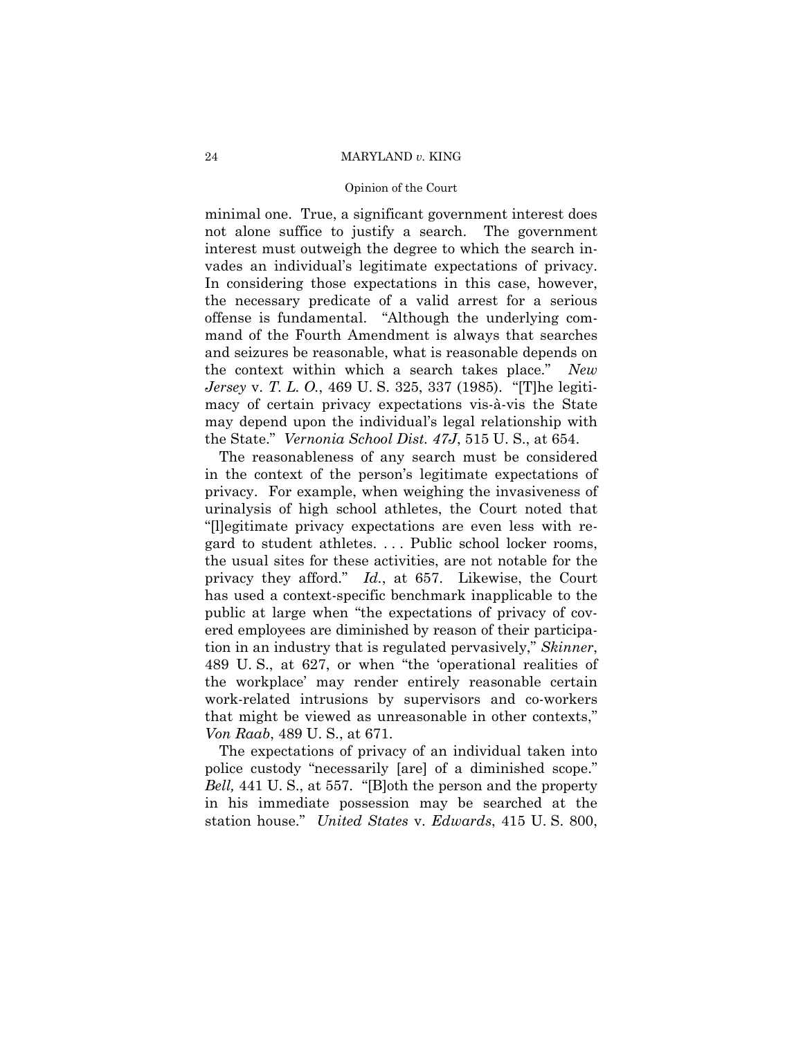#### Opinion of the Court

minimal one. True, a significant government interest does not alone suffice to justify a search. The government interest must outweigh the degree to which the search invades an individual's legitimate expectations of privacy. In considering those expectations in this case, however, the necessary predicate of a valid arrest for a serious offense is fundamental. "Although the underlying command of the Fourth Amendment is always that searches and seizures be reasonable, what is reasonable depends on the context within which a search takes place." *New Jersey* v. *T. L. O.*, 469 U. S. 325, 337 (1985). "[T]he legitimacy of certain privacy expectations vis-à-vis the State may depend upon the individual's legal relationship with the State." *Vernonia School Dist. 47J*, 515 U. S., at 654.

The reasonableness of any search must be considered in the context of the person's legitimate expectations of privacy. For example, when weighing the invasiveness of urinalysis of high school athletes, the Court noted that "[l]egitimate privacy expectations are even less with regard to student athletes. . . . Public school locker rooms, the usual sites for these activities, are not notable for the privacy they afford." *Id.*, at 657. Likewise, the Court has used a context-specific benchmark inapplicable to the public at large when "the expectations of privacy of covered employees are diminished by reason of their participation in an industry that is regulated pervasively," *Skinner*, 489 U. S., at 627, or when "the 'operational realities of the workplace' may render entirely reasonable certain work-related intrusions by supervisors and co-workers that might be viewed as unreasonable in other contexts," *Von Raab*, 489 U. S., at 671.

 *Bell,* 441 U. S., at 557. "[B]oth the person and the property The expectations of privacy of an individual taken into police custody "necessarily [are] of a diminished scope." in his immediate possession may be searched at the station house." *United States* v. *Edwards*, 415 U. S. 800,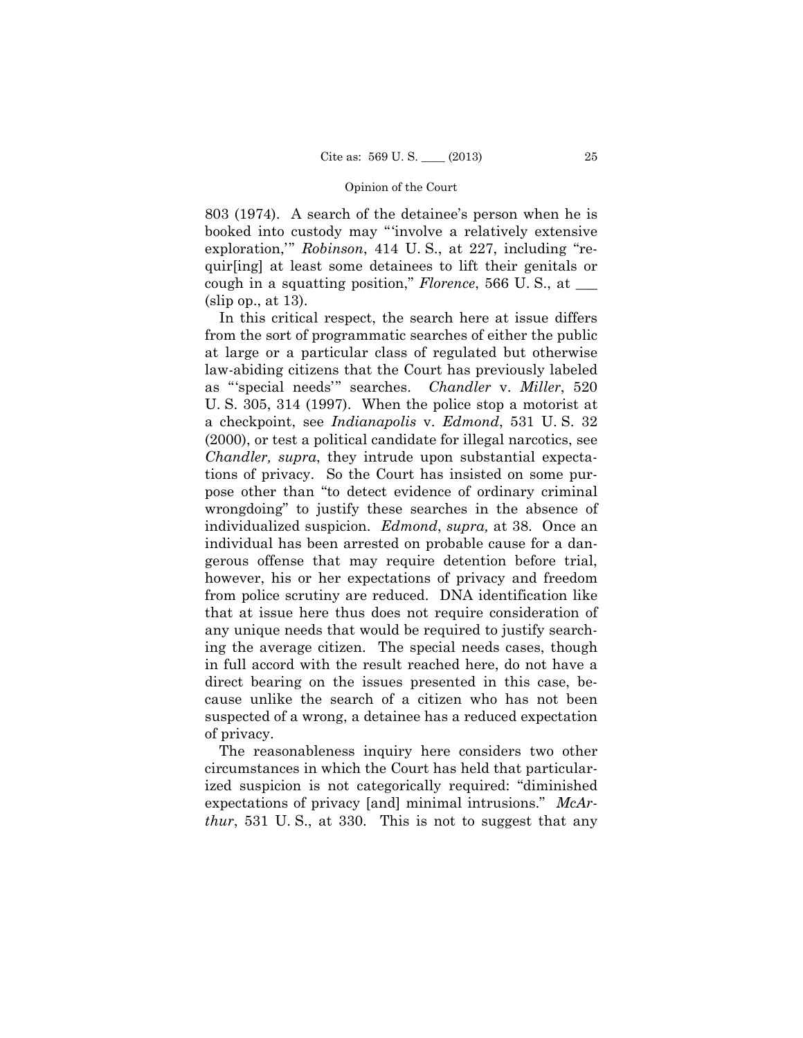803 (1974). A search of the detainee's person when he is booked into custody may " 'involve a relatively extensive exploration,'" *Robinson*, 414 U. S., at 227, including "requir[ing] at least some detainees to lift their genitals or cough in a squatting position," *Florence*, 566 U. S., at \_\_\_ (slip op., at 13).

In this critical respect, the search here at issue differs from the sort of programmatic searches of either the public at large or a particular class of regulated but otherwise law-abiding citizens that the Court has previously labeled as "'special needs'" searches. *Chandler* v. *Miller*, 520 U. S. 305, 314 (1997). When the police stop a motorist at a checkpoint, see *Indianapolis* v. *Edmond*, 531 U. S. 32 (2000), or test a political candidate for illegal narcotics, see *Chandler, supra*, they intrude upon substantial expectations of privacy. So the Court has insisted on some purpose other than "to detect evidence of ordinary criminal wrongdoing" to justify these searches in the absence of individualized suspicion. *Edmond*, *supra,* at 38. Once an individual has been arrested on probable cause for a dangerous offense that may require detention before trial, however, his or her expectations of privacy and freedom from police scrutiny are reduced. DNA identification like that at issue here thus does not require consideration of any unique needs that would be required to justify searching the average citizen. The special needs cases, though in full accord with the result reached here, do not have a direct bearing on the issues presented in this case, because unlike the search of a citizen who has not been suspected of a wrong, a detainee has a reduced expectation of privacy.

The reasonableness inquiry here considers two other circumstances in which the Court has held that particularized suspicion is not categorically required: "diminished expectations of privacy [and] minimal intrusions." *McArthur*, 531 U. S., at 330. This is not to suggest that any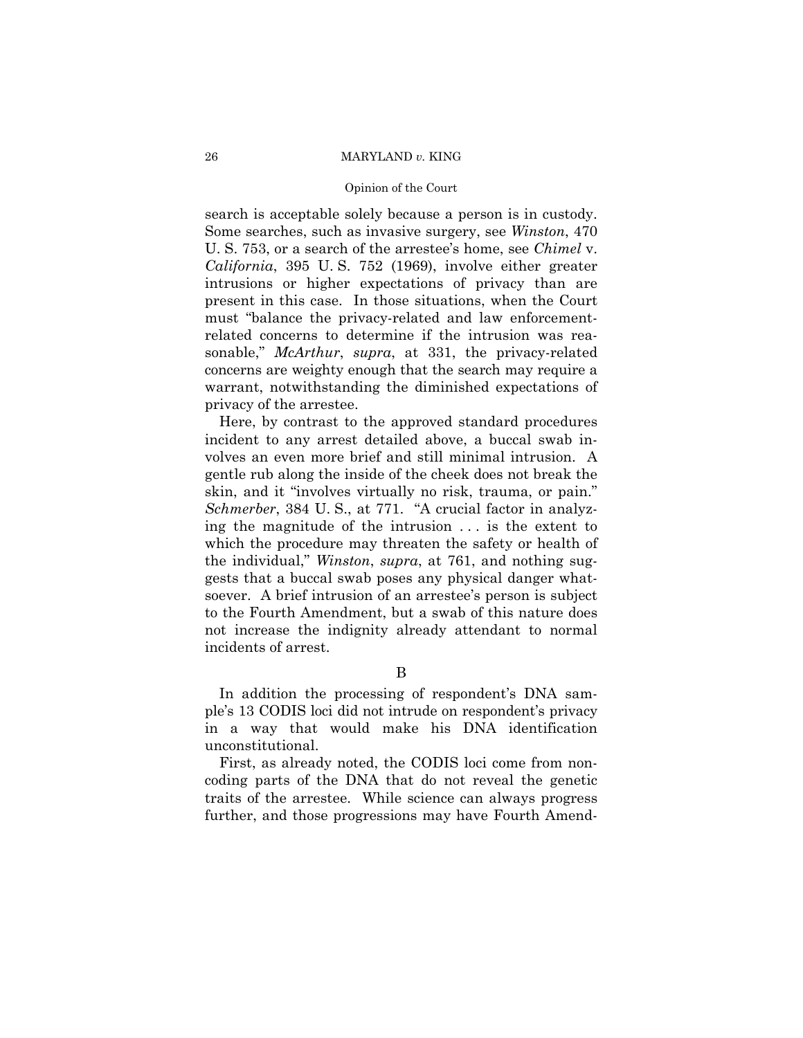#### Opinion of the Court

 concerns are weighty enough that the search may require a search is acceptable solely because a person is in custody. Some searches, such as invasive surgery, see *Winston*, 470 U. S. 753, or a search of the arrestee's home, see *Chimel* v. *California*, 395 U. S. 752 (1969), involve either greater intrusions or higher expectations of privacy than are present in this case. In those situations, when the Court must "balance the privacy-related and law enforcementrelated concerns to determine if the intrusion was reasonable," *McArthur*, *supra*, at 331, the privacy-related warrant, notwithstanding the diminished expectations of privacy of the arrestee.

Here, by contrast to the approved standard procedures incident to any arrest detailed above, a buccal swab involves an even more brief and still minimal intrusion. A gentle rub along the inside of the cheek does not break the skin, and it "involves virtually no risk, trauma, or pain." *Schmerber*, 384 U. S., at 771. "A crucial factor in analyzing the magnitude of the intrusion . . . is the extent to which the procedure may threaten the safety or health of the individual," *Winston*, *supra*, at 761, and nothing suggests that a buccal swab poses any physical danger whatsoever. A brief intrusion of an arrestee's person is subject to the Fourth Amendment, but a swab of this nature does not increase the indignity already attendant to normal incidents of arrest.

B

In addition the processing of respondent's DNA sample's 13 CODIS loci did not intrude on respondent's privacy in a way that would make his DNA identification unconstitutional.

First, as already noted, the CODIS loci come from noncoding parts of the DNA that do not reveal the genetic traits of the arrestee. While science can always progress further, and those progressions may have Fourth Amend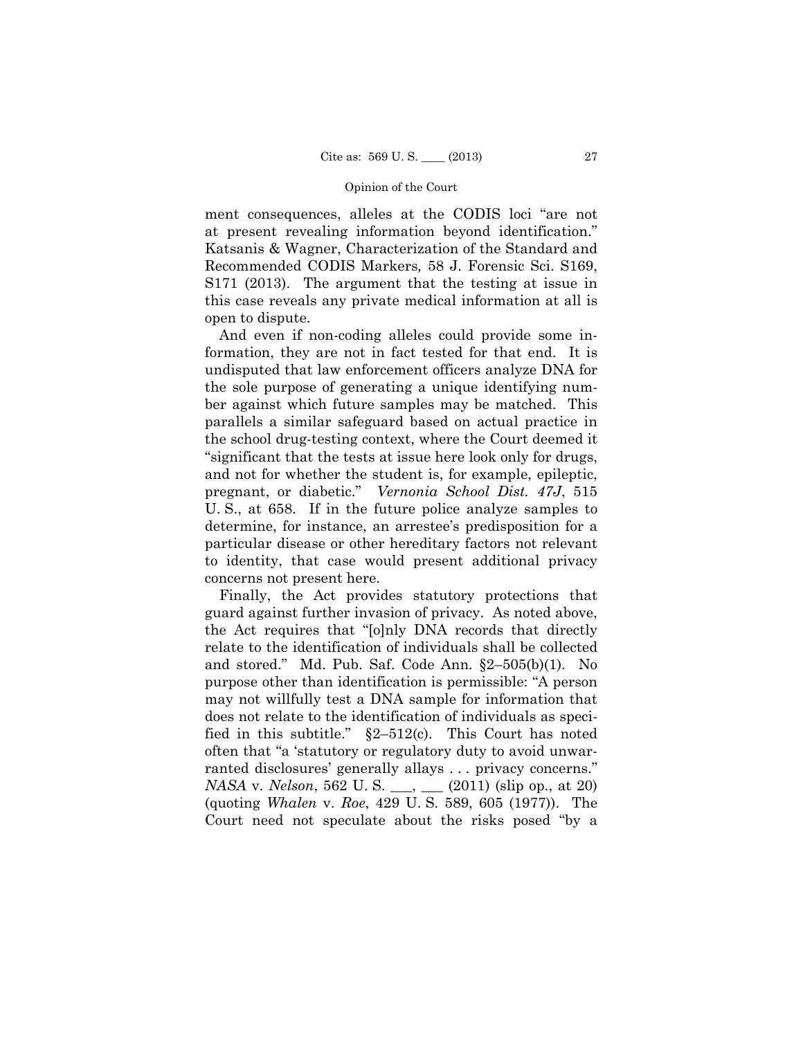ment consequences, alleles at the CODIS loci "are not at present revealing information beyond identification." Katsanis & Wagner, Characterization of the Standard and Recommended CODIS Markers*,* 58 J. Forensic Sci. S169, S171 (2013). The argument that the testing at issue in this case reveals any private medical information at all is open to dispute.

And even if non-coding alleles could provide some information, they are not in fact tested for that end. It is undisputed that law enforcement officers analyze DNA for the sole purpose of generating a unique identifying number against which future samples may be matched. This parallels a similar safeguard based on actual practice in the school drug-testing context, where the Court deemed it "significant that the tests at issue here look only for drugs, and not for whether the student is, for example, epileptic, pregnant, or diabetic." *Vernonia School Dist. 47J*, 515 U. S., at 658. If in the future police analyze samples to determine, for instance, an arrestee's predisposition for a particular disease or other hereditary factors not relevant to identity, that case would present additional privacy concerns not present here.

Finally, the Act provides statutory protections that guard against further invasion of privacy. As noted above, the Act requires that "[o]nly DNA records that directly relate to the identification of individuals shall be collected and stored." Md. Pub. Saf. Code Ann*.* §2–505(b)(1). No purpose other than identification is permissible: "A person may not willfully test a DNA sample for information that does not relate to the identification of individuals as specified in this subtitle."  $\S2-512(c)$ . This Court has noted often that "a 'statutory or regulatory duty to avoid unwarranted disclosures' generally allays . . . privacy concerns." *NASA* v. *Nelson*, 562 U. S. \_\_\_, \_\_\_ (2011) (slip op., at 20) (quoting *Whalen* v. *Roe*, 429 U. S. 589, 605 (1977)). The Court need not speculate about the risks posed "by a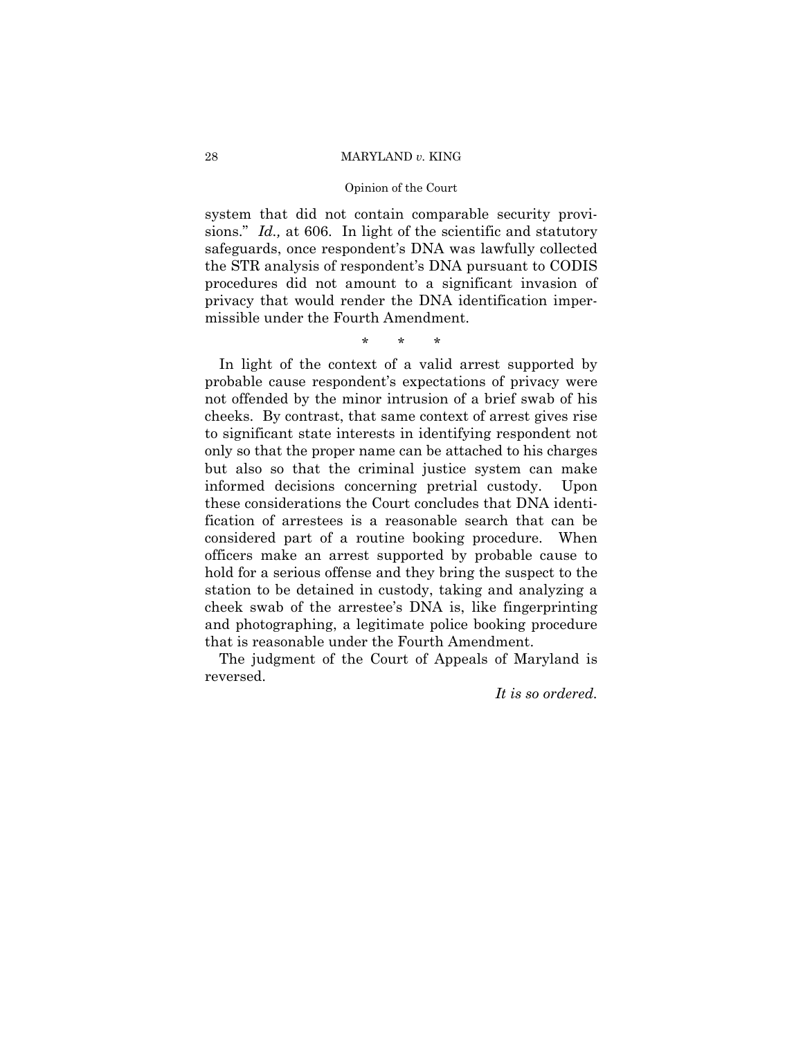## Opinion of the Court

system that did not contain comparable security provisions." *Id.,* at 606. In light of the scientific and statutory safeguards, once respondent's DNA was lawfully collected the STR analysis of respondent's DNA pursuant to CODIS procedures did not amount to a significant invasion of privacy that would render the DNA identification impermissible under the Fourth Amendment.

\* \* \*

In light of the context of a valid arrest supported by probable cause respondent's expectations of privacy were not offended by the minor intrusion of a brief swab of his cheeks. By contrast, that same context of arrest gives rise to significant state interests in identifying respondent not only so that the proper name can be attached to his charges but also so that the criminal justice system can make informed decisions concerning pretrial custody. Upon these considerations the Court concludes that DNA identification of arrestees is a reasonable search that can be considered part of a routine booking procedure. When officers make an arrest supported by probable cause to hold for a serious offense and they bring the suspect to the station to be detained in custody, taking and analyzing a cheek swab of the arrestee's DNA is, like fingerprinting and photographing, a legitimate police booking procedure that is reasonable under the Fourth Amendment.

The judgment of the Court of Appeals of Maryland is reversed.

*It is so ordered.*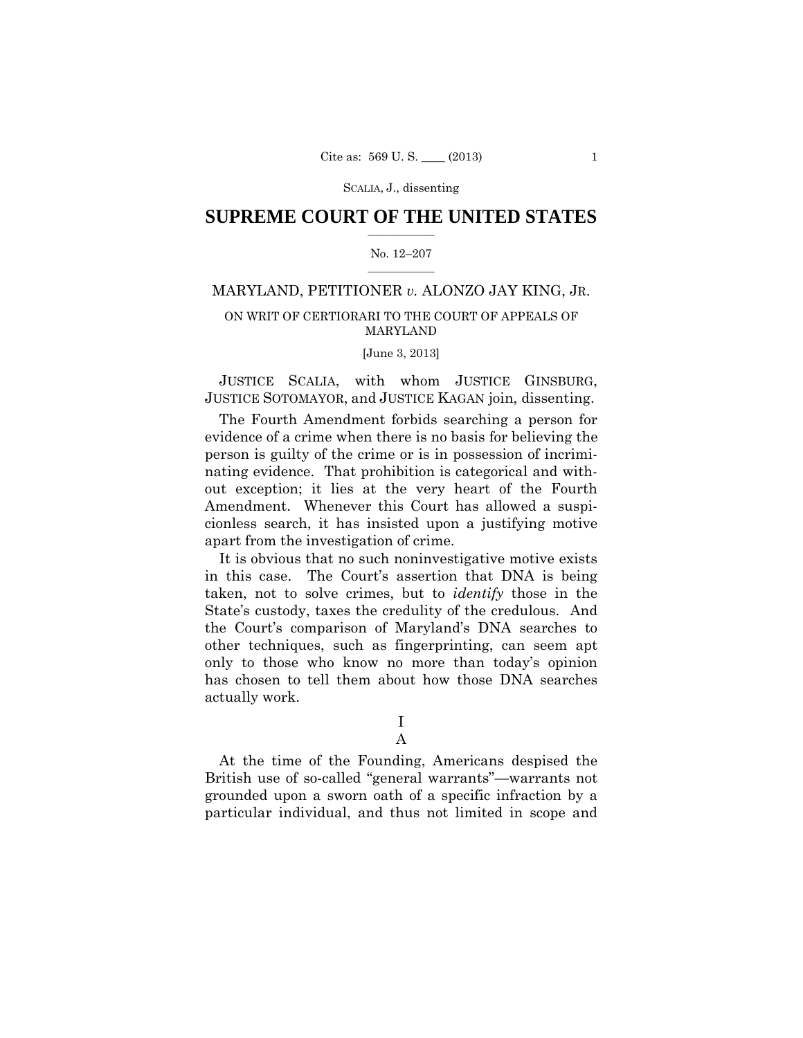## $\frac{1}{2}$  ,  $\frac{1}{2}$  ,  $\frac{1}{2}$  ,  $\frac{1}{2}$  ,  $\frac{1}{2}$  ,  $\frac{1}{2}$  ,  $\frac{1}{2}$ **SUPREME COURT OF THE UNITED STATES**

### $\frac{1}{2}$  ,  $\frac{1}{2}$  ,  $\frac{1}{2}$  ,  $\frac{1}{2}$  ,  $\frac{1}{2}$  ,  $\frac{1}{2}$ No. 12–207

# MARYLAND, PETITIONER *v.* ALONZO JAY KING, JR.

## ON WRIT OF CERTIORARI TO THE COURT OF APPEALS OF MARYLAND

## [June 3, 2013]

 JUSTICE SOTOMAYOR, and JUSTICE KAGAN join, dissenting. JUSTICE SCALIA, with whom JUSTICE GINSBURG,

The Fourth Amendment forbids searching a person for evidence of a crime when there is no basis for believing the person is guilty of the crime or is in possession of incriminating evidence. That prohibition is categorical and without exception; it lies at the very heart of the Fourth Amendment. Whenever this Court has allowed a suspicionless search, it has insisted upon a justifying motive apart from the investigation of crime.

It is obvious that no such noninvestigative motive exists in this case. The Court's assertion that DNA is being taken, not to solve crimes, but to *identify* those in the State's custody, taxes the credulity of the credulous. And the Court's comparison of Maryland's DNA searches to other techniques, such as fingerprinting, can seem apt only to those who know no more than today's opinion has chosen to tell them about how those DNA searches actually work.

I

A

At the time of the Founding, Americans despised the British use of so-called "general warrants"—warrants not grounded upon a sworn oath of a specific infraction by a particular individual, and thus not limited in scope and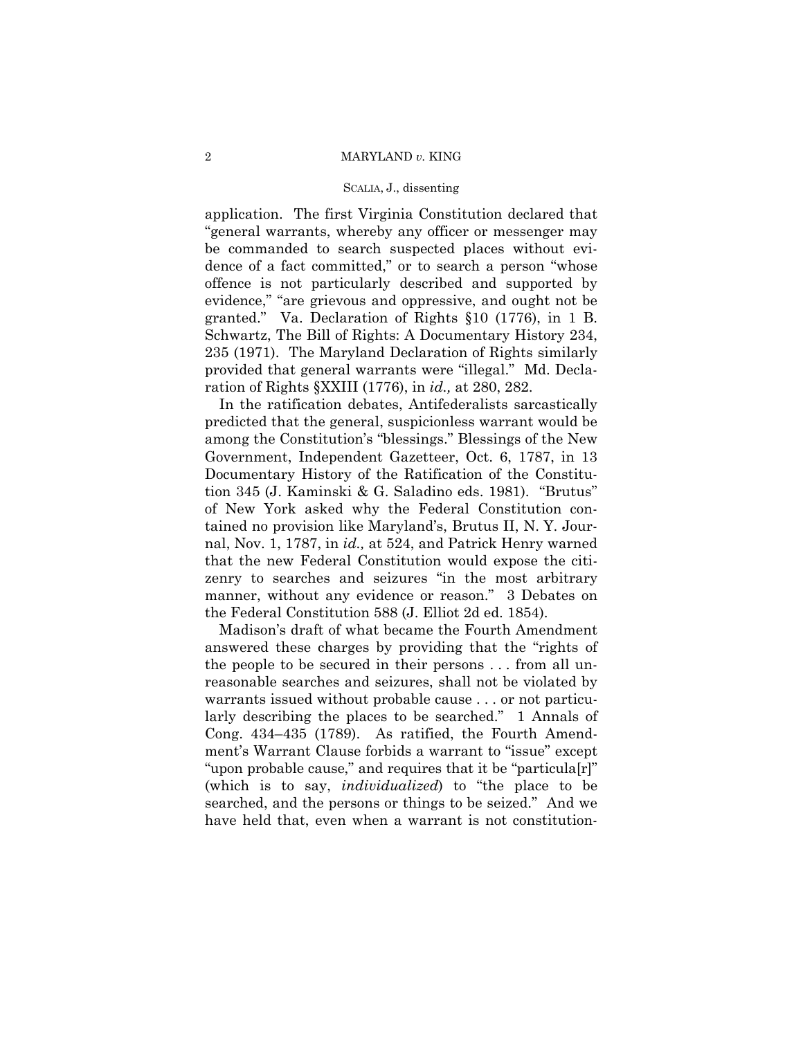application. The first Virginia Constitution declared that "general warrants, whereby any officer or messenger may be commanded to search suspected places without evidence of a fact committed," or to search a person "whose offence is not particularly described and supported by evidence," "are grievous and oppressive, and ought not be granted." Va. Declaration of Rights §10 (1776), in 1 B. Schwartz, The Bill of Rights: A Documentary History 234, 235 (1971). The Maryland Declaration of Rights similarly provided that general warrants were "illegal." Md. Declaration of Rights §XXIII (1776), in *id.,* at 280, 282.

In the ratification debates, Antifederalists sarcastically predicted that the general, suspicionless warrant would be among the Constitution's "blessings." Blessings of the New Government, Independent Gazetteer, Oct. 6, 1787, in 13 Documentary History of the Ratification of the Constitution 345 (J. Kaminski & G. Saladino eds. 1981). "Brutus" of New York asked why the Federal Constitution contained no provision like Maryland's, Brutus II, N. Y. Journal, Nov. 1, 1787, in *id.,* at 524, and Patrick Henry warned that the new Federal Constitution would expose the citizenry to searches and seizures "in the most arbitrary manner, without any evidence or reason." 3 Debates on the Federal Constitution 588 (J. Elliot 2d ed. 1854).

Madison's draft of what became the Fourth Amendment answered these charges by providing that the "rights of the people to be secured in their persons . . . from all unreasonable searches and seizures, shall not be violated by warrants issued without probable cause . . . or not particularly describing the places to be searched." 1 Annals of Cong. 434–435 (1789). As ratified, the Fourth Amendment's Warrant Clause forbids a warrant to "issue" except "upon probable cause," and requires that it be "particula[r]" (which is to say, *individualized*) to "the place to be searched, and the persons or things to be seized." And we have held that, even when a warrant is not constitution-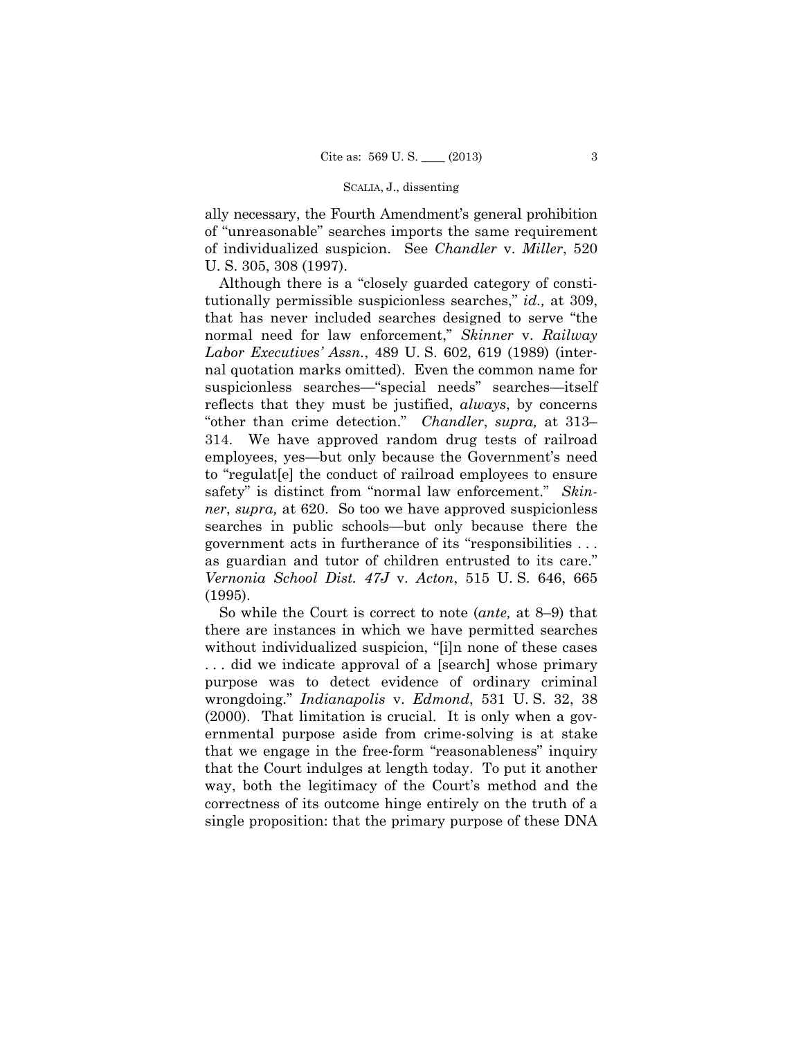ally necessary, the Fourth Amendment's general prohibition of "unreasonable" searches imports the same requirement of individualized suspicion. See *Chandler* v. *Miller*, 520 U. S. 305, 308 (1997).

Although there is a "closely guarded category of constitutionally permissible suspicionless searches," *id.,* at 309, that has never included searches designed to serve "the normal need for law enforcement," *Skinner* v. *Railway Labor Executives' Assn.*, 489 U. S. 602, 619 (1989) (internal quotation marks omitted). Even the common name for suspicionless searches—"special needs" searches—itself reflects that they must be justified, *always*, by concerns "other than crime detection." *Chandler*, *supra,* at 313– 314. We have approved random drug tests of railroad employees, yes—but only because the Government's need to "regulat[e] the conduct of railroad employees to ensure safety" is distinct from "normal law enforcement." *Skinner*, *supra,* at 620. So too we have approved suspicionless searches in public schools—but only because there the government acts in furtherance of its "responsibilities . . . as guardian and tutor of children entrusted to its care." *Vernonia School Dist. 47J* v. *Acton*, 515 U. S. 646, 665 (1995).

So while the Court is correct to note (*ante,* at 8–9) that there are instances in which we have permitted searches without individualized suspicion, "[i]n none of these cases . . . did we indicate approval of a [search] whose primary purpose was to detect evidence of ordinary criminal wrongdoing." *Indianapolis* v. *Edmond*, 531 U. S. 32, 38 (2000). That limitation is crucial. It is only when a governmental purpose aside from crime-solving is at stake that we engage in the free-form "reasonableness" inquiry that the Court indulges at length today. To put it another way, both the legitimacy of the Court's method and the correctness of its outcome hinge entirely on the truth of a single proposition: that the primary purpose of these DNA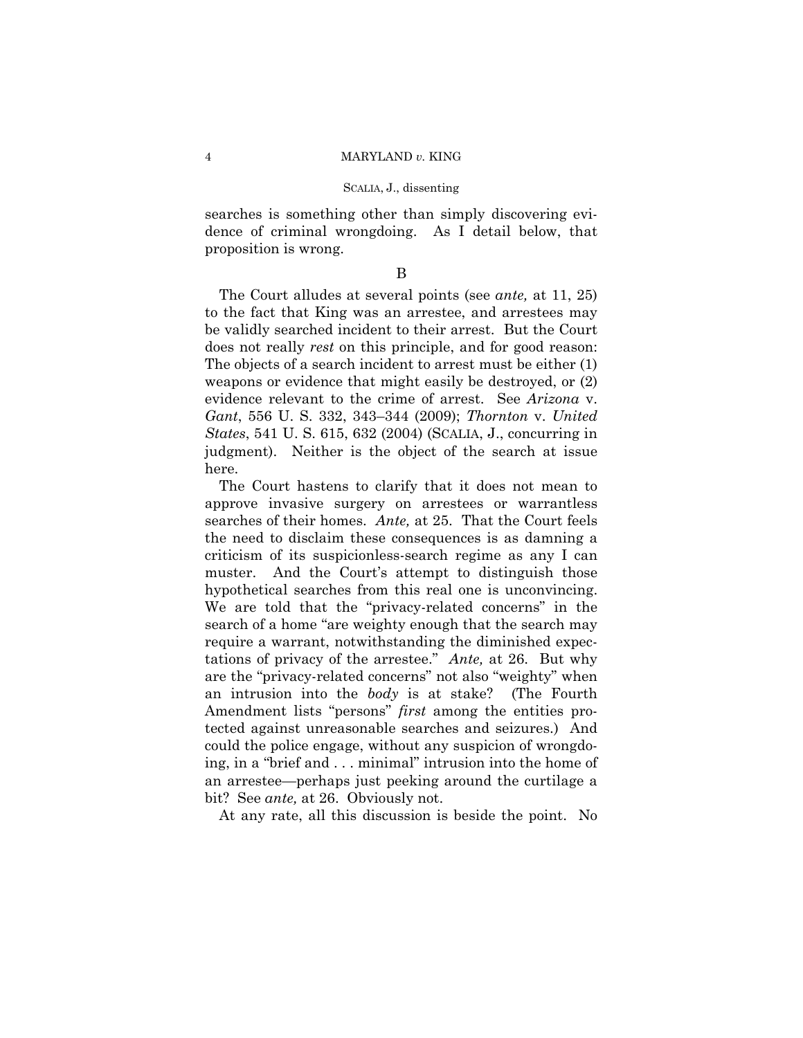searches is something other than simply discovering evidence of criminal wrongdoing. As I detail below, that proposition is wrong.

B

The Court alludes at several points (see *ante,* at 11, 25) to the fact that King was an arrestee, and arrestees may be validly searched incident to their arrest. But the Court does not really *rest* on this principle, and for good reason: The objects of a search incident to arrest must be either (1) weapons or evidence that might easily be destroyed, or (2) evidence relevant to the crime of arrest. See *Arizona* v. *Gant*, 556 U. S. 332, 343–344 (2009); *Thornton* v. *United States*, 541 U. S. 615, 632 (2004) (SCALIA, J., concurring in judgment). Neither is the object of the search at issue here.

 tations of privacy of the arrestee." *Ante,* at 26. But why The Court hastens to clarify that it does not mean to approve invasive surgery on arrestees or warrantless searches of their homes. *Ante,* at 25. That the Court feels the need to disclaim these consequences is as damning a criticism of its suspicionless-search regime as any I can muster. And the Court's attempt to distinguish those hypothetical searches from this real one is unconvincing. We are told that the "privacy-related concerns" in the search of a home "are weighty enough that the search may require a warrant, notwithstanding the diminished expecare the "privacy-related concerns" not also "weighty" when an intrusion into the *body* is at stake? (The Fourth Amendment lists "persons" *first* among the entities protected against unreasonable searches and seizures.) And could the police engage, without any suspicion of wrongdoing, in a "brief and . . . minimal" intrusion into the home of an arrestee—perhaps just peeking around the curtilage a bit? See *ante,* at 26. Obviously not.

At any rate, all this discussion is beside the point. No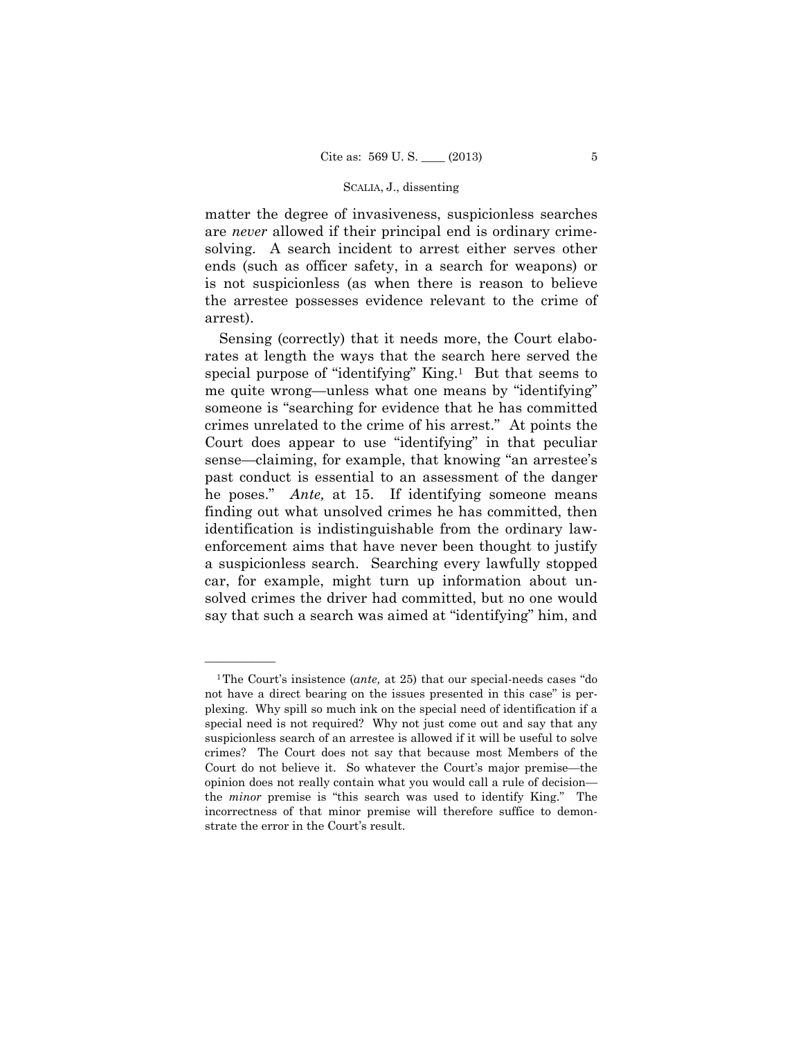matter the degree of invasiveness, suspicionless searches are *never* allowed if their principal end is ordinary crimesolving. A search incident to arrest either serves other ends (such as officer safety, in a search for weapons) or is not suspicionless (as when there is reason to believe the arrestee possesses evidence relevant to the crime of arrest).

Sensing (correctly) that it needs more, the Court elaborates at length the ways that the search here served the special purpose of "identifying" King.1 But that seems to me quite wrong—unless what one means by "identifying" someone is "searching for evidence that he has committed crimes unrelated to the crime of his arrest." At points the Court does appear to use "identifying" in that peculiar sense—claiming, for example, that knowing "an arrestee's past conduct is essential to an assessment of the danger he poses." *Ante,* at 15. If identifying someone means finding out what unsolved crimes he has committed, then identification is indistinguishable from the ordinary lawenforcement aims that have never been thought to justify a suspicionless search. Searching every lawfully stopped car, for example, might turn up information about unsolved crimes the driver had committed, but no one would say that such a search was aimed at "identifying" him, and

<sup>&</sup>lt;sup>1</sup>The Court's insistence (*ante*, at 25) that our special-needs cases "do not have a direct bearing on the issues presented in this case" is perplexing. Why spill so much ink on the special need of identification if a special need is not required? Why not just come out and say that any suspicionless search of an arrestee is allowed if it will be useful to solve crimes? The Court does not say that because most Members of the Court do not believe it. So whatever the Court's major premise—the opinion does not really contain what you would call a rule of decision the *minor* premise is "this search was used to identify King." The incorrectness of that minor premise will therefore suffice to demonstrate the error in the Court's result.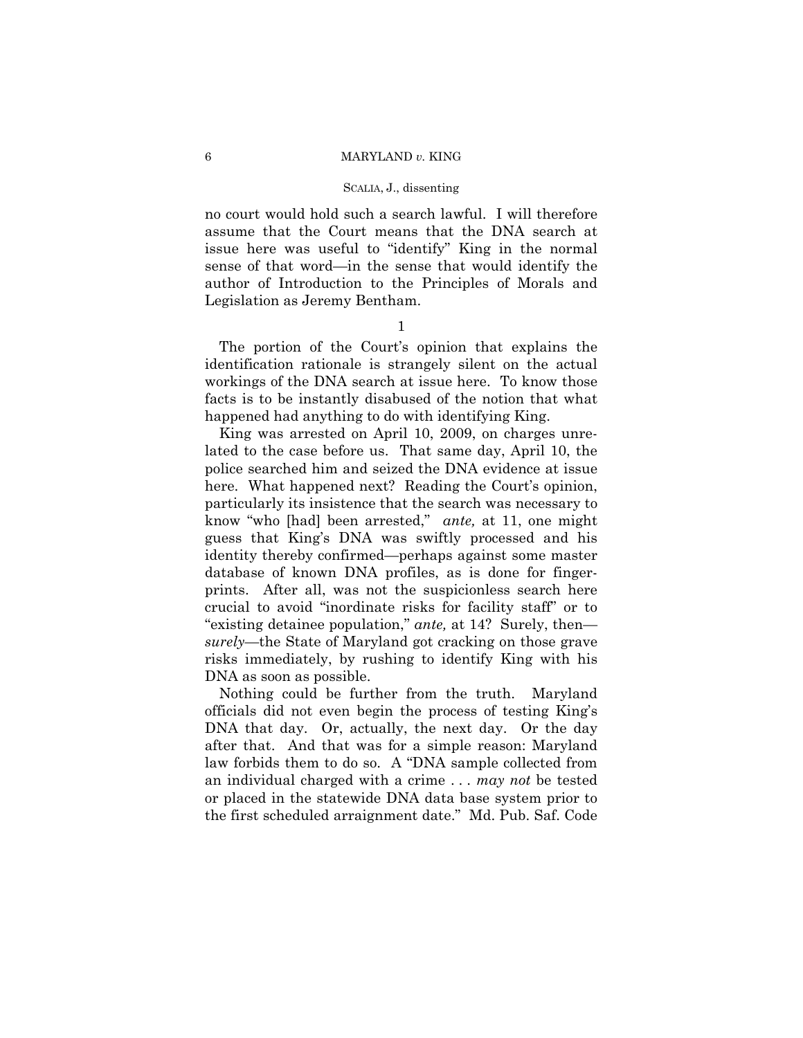no court would hold such a search lawful. I will therefore assume that the Court means that the DNA search at issue here was useful to "identify" King in the normal sense of that word—in the sense that would identify the author of Introduction to the Principles of Morals and Legislation as Jeremy Bentham.

1

The portion of the Court's opinion that explains the identification rationale is strangely silent on the actual workings of the DNA search at issue here. To know those facts is to be instantly disabused of the notion that what happened had anything to do with identifying King.

King was arrested on April 10, 2009, on charges unrelated to the case before us. That same day, April 10, the police searched him and seized the DNA evidence at issue here. What happened next? Reading the Court's opinion, particularly its insistence that the search was necessary to know "who [had] been arrested," *ante,* at 11, one might guess that King's DNA was swiftly processed and his identity thereby confirmed—perhaps against some master database of known DNA profiles, as is done for fingerprints. After all, was not the suspicionless search here crucial to avoid "inordinate risks for facility staff" or to "existing detainee population," *ante,* at 14? Surely, then *surely*—the State of Maryland got cracking on those grave risks immediately, by rushing to identify King with his DNA as soon as possible.

Nothing could be further from the truth. Maryland officials did not even begin the process of testing King's DNA that day. Or, actually, the next day. Or the day after that. And that was for a simple reason: Maryland law forbids them to do so. A "DNA sample collected from an individual charged with a crime . . . *may not* be tested or placed in the statewide DNA data base system prior to the first scheduled arraignment date." Md. Pub. Saf. Code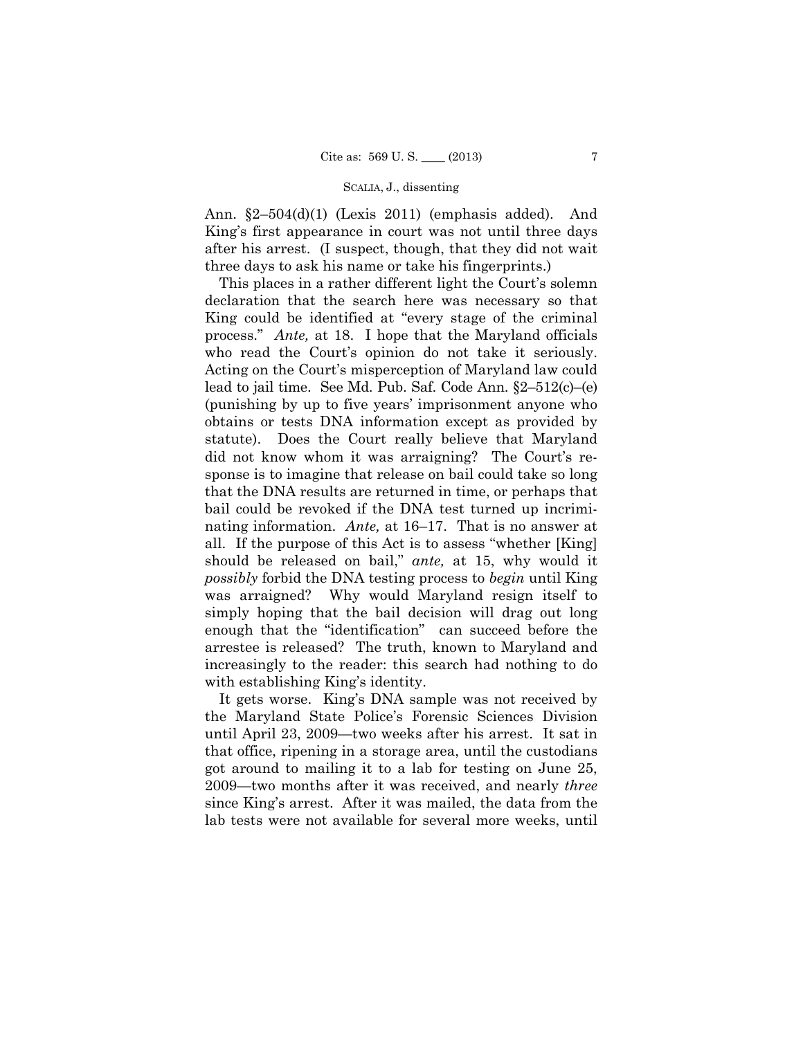Ann. §2–504(d)(1) (Lexis 2011) (emphasis added). And King's first appearance in court was not until three days after his arrest. (I suspect, though, that they did not wait three days to ask his name or take his fingerprints.)

This places in a rather different light the Court's solemn declaration that the search here was necessary so that King could be identified at "every stage of the criminal process." *Ante,* at 18. I hope that the Maryland officials who read the Court's opinion do not take it seriously. Acting on the Court's misperception of Maryland law could lead to jail time. See Md. Pub. Saf. Code Ann. §2–512(c)–(e) (punishing by up to five years' imprisonment anyone who obtains or tests DNA information except as provided by statute). Does the Court really believe that Maryland did not know whom it was arraigning? The Court's response is to imagine that release on bail could take so long that the DNA results are returned in time, or perhaps that bail could be revoked if the DNA test turned up incriminating information. *Ante,* at 16–17. That is no answer at all. If the purpose of this Act is to assess "whether [King] should be released on bail," *ante,* at 15, why would it *possibly* forbid the DNA testing process to *begin* until King was arraigned? Why would Maryland resign itself to simply hoping that the bail decision will drag out long enough that the "identification" can succeed before the arrestee is released? The truth, known to Maryland and increasingly to the reader: this search had nothing to do with establishing King's identity.

It gets worse. King's DNA sample was not received by the Maryland State Police's Forensic Sciences Division until April 23, 2009—two weeks after his arrest. It sat in that office, ripening in a storage area, until the custodians got around to mailing it to a lab for testing on June 25, 2009—two months after it was received, and nearly *three*  since King's arrest. After it was mailed, the data from the lab tests were not available for several more weeks, until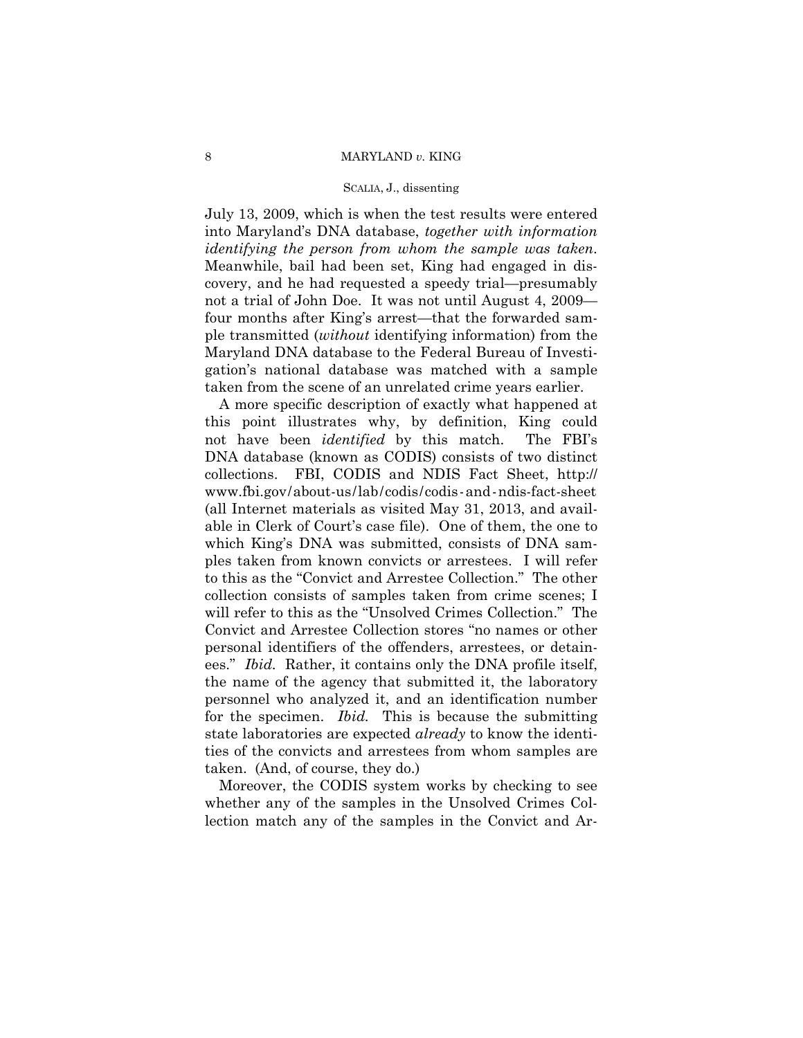#### SCALIA, J., dissenting

July 13, 2009, which is when the test results were entered into Maryland's DNA database, *together with information identifying the person from whom the sample was taken*. Meanwhile, bail had been set, King had engaged in discovery, and he had requested a speedy trial—presumably not a trial of John Doe. It was not until August 4, 2009 four months after King's arrest—that the forwarded sample transmitted (*without* identifying information) from the Maryland DNA database to the Federal Bureau of Investigation's national database was matched with a sample taken from the scene of an unrelated crime years earlier.

 ees." *Ibid.* Rather, it contains only the DNA profile itself, A more specific description of exactly what happened at this point illustrates why, by definition, King could not have been *identified* by this match. The FBI's DNA database (known as CODIS) consists of two distinct collections. FBI, CODIS and NDIS Fact Sheet, http:// www.fbi.gov/about-us/lab/codis/codis-and-ndis-fact-sheet (all Internet materials as visited May 31, 2013, and available in Clerk of Court's case file). One of them, the one to which King's DNA was submitted, consists of DNA samples taken from known convicts or arrestees. I will refer to this as the "Convict and Arrestee Collection." The other collection consists of samples taken from crime scenes; I will refer to this as the "Unsolved Crimes Collection." The Convict and Arrestee Collection stores "no names or other personal identifiers of the offenders, arrestees, or detainthe name of the agency that submitted it, the laboratory personnel who analyzed it, and an identification number for the specimen. *Ibid.* This is because the submitting state laboratories are expected *already* to know the identities of the convicts and arrestees from whom samples are taken. (And, of course, they do.)

Moreover, the CODIS system works by checking to see whether any of the samples in the Unsolved Crimes Collection match any of the samples in the Convict and Ar-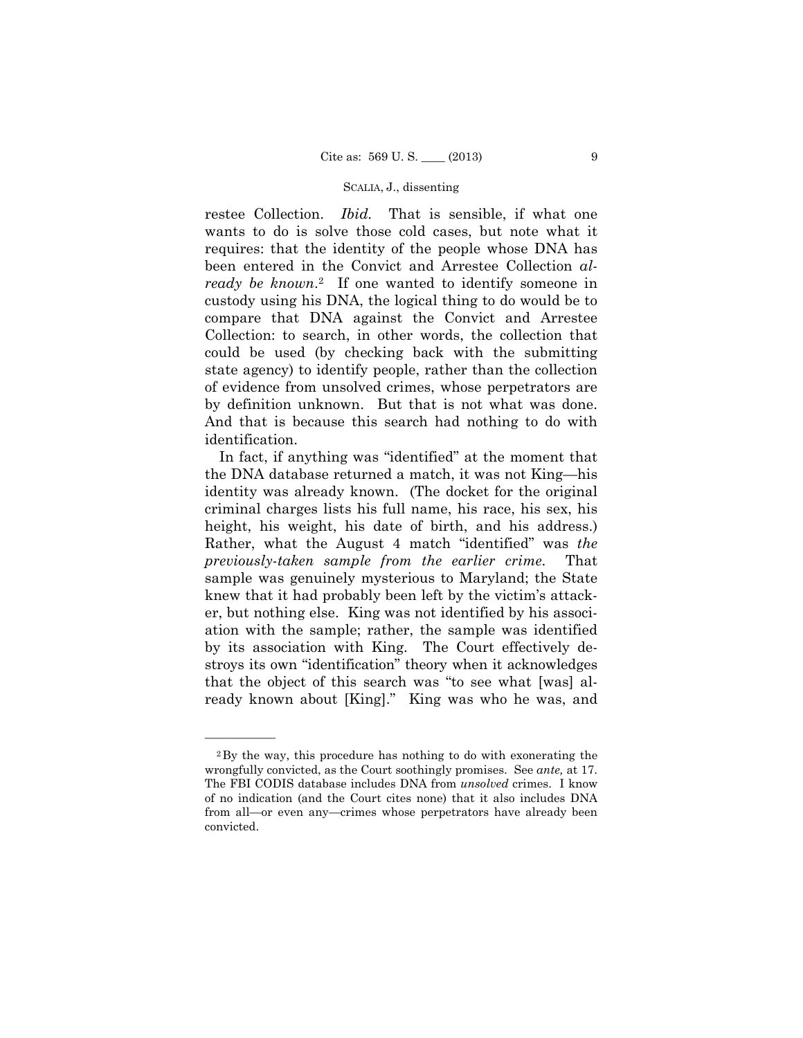restee Collection. *Ibid.* That is sensible, if what one wants to do is solve those cold cases, but note what it requires: that the identity of the people whose DNA has been entered in the Convict and Arrestee Collection *already be known*.2 If one wanted to identify someone in custody using his DNA, the logical thing to do would be to compare that DNA against the Convict and Arrestee Collection: to search, in other words, the collection that could be used (by checking back with the submitting state agency) to identify people, rather than the collection of evidence from unsolved crimes, whose perpetrators are by definition unknown. But that is not what was done. And that is because this search had nothing to do with identification.

In fact, if anything was "identified" at the moment that the DNA database returned a match, it was not King—his identity was already known. (The docket for the original criminal charges lists his full name, his race, his sex, his height, his weight, his date of birth, and his address.) Rather, what the August 4 match "identified" was *the previously-taken sample from the earlier crime*. That sample was genuinely mysterious to Maryland; the State knew that it had probably been left by the victim's attacker, but nothing else. King was not identified by his association with the sample; rather, the sample was identified by its association with King. The Court effectively destroys its own "identification" theory when it acknowledges that the object of this search was "to see what [was] already known about [King]." King was who he was, and

 wrongfully convicted, as the Court soothingly promises. See *ante,* at 17. The FBI CODIS database includes DNA from *unsolved* crimes. I know 2By the way, this procedure has nothing to do with exonerating the of no indication (and the Court cites none) that it also includes DNA from all—or even any—crimes whose perpetrators have already been convicted.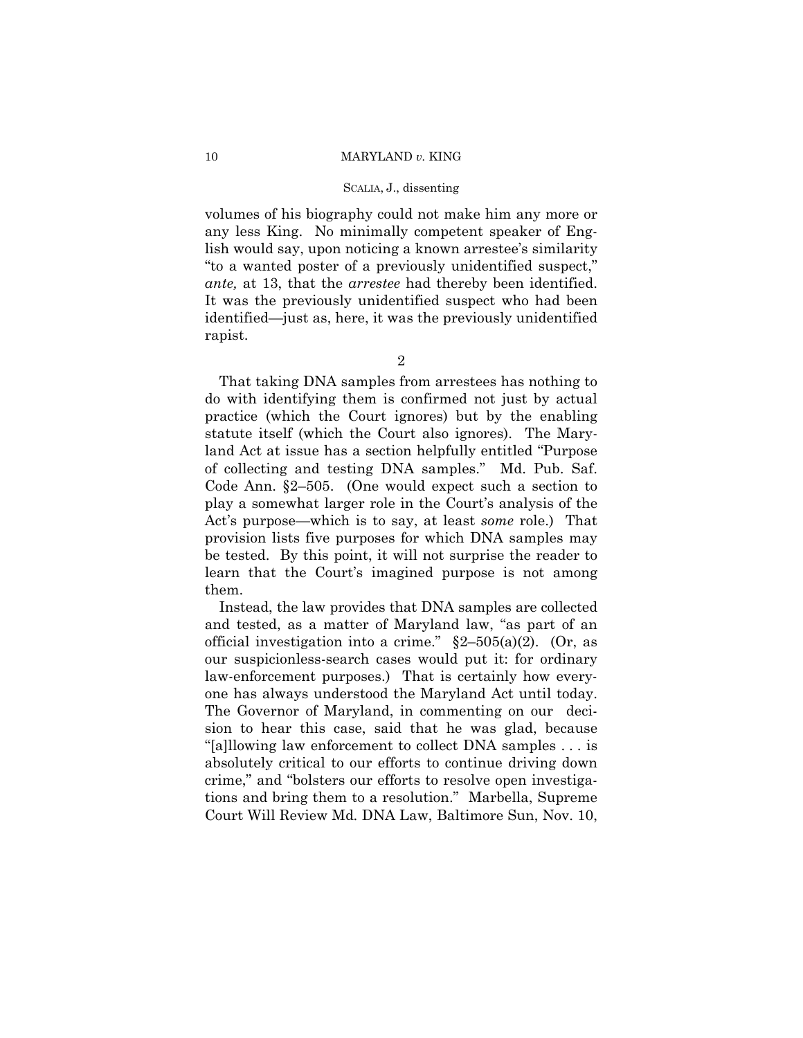#### SCALIA, J., dissenting

volumes of his biography could not make him any more or any less King. No minimally competent speaker of English would say, upon noticing a known arrestee's similarity "to a wanted poster of a previously unidentified suspect," *ante,* at 13, that the *arrestee* had thereby been identified. It was the previously unidentified suspect who had been identified—just as, here, it was the previously unidentified rapist.

That taking DNA samples from arrestees has nothing to do with identifying them is confirmed not just by actual practice (which the Court ignores) but by the enabling statute itself (which the Court also ignores). The Maryland Act at issue has a section helpfully entitled "Purpose of collecting and testing DNA samples." Md. Pub. Saf. Code Ann. §2–505. (One would expect such a section to play a somewhat larger role in the Court's analysis of the Act's purpose—which is to say, at least *some* role.) That provision lists five purposes for which DNA samples may be tested. By this point, it will not surprise the reader to learn that the Court's imagined purpose is not among them.

Instead, the law provides that DNA samples are collected and tested, as a matter of Maryland law, "as part of an official investigation into a crime."  $\S2 - 505(a)(2)$ . (Or, as our suspicionless-search cases would put it: for ordinary law-enforcement purposes.) That is certainly how everyone has always understood the Maryland Act until today. The Governor of Maryland, in commenting on our decision to hear this case, said that he was glad, because "[a]llowing law enforcement to collect DNA samples . . . is absolutely critical to our efforts to continue driving down crime," and "bolsters our efforts to resolve open investigations and bring them to a resolution." Marbella, Supreme Court Will Review Md*.* DNA Law, Baltimore Sun, Nov. 10,

<sup>2</sup>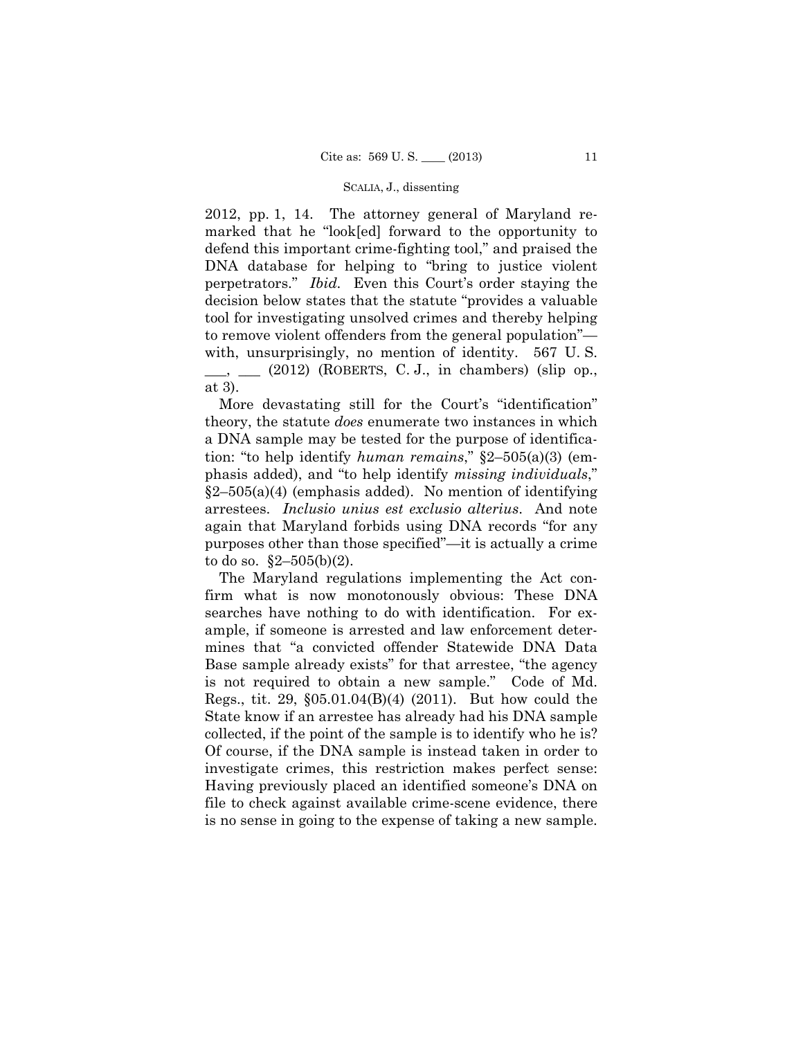perpetrators." *Ibid.* Even this Court's order staying the 2012, pp. 1, 14. The attorney general of Maryland remarked that he "look[ed] forward to the opportunity to defend this important crime-fighting tool," and praised the DNA database for helping to "bring to justice violent decision below states that the statute "provides a valuable tool for investigating unsolved crimes and thereby helping to remove violent offenders from the general population" with, unsurprisingly, no mention of identity. 567 U. S.  $\Box$ ,  $\Box$  (2012) (ROBERTS, C. J., in chambers) (slip op., at 3).

More devastating still for the Court's "identification" theory, the statute *does* enumerate two instances in which a DNA sample may be tested for the purpose of identification: "to help identify *human remains*," §2–505(a)(3) (emphasis added), and "to help identify *missing individuals*,"  $\S2-505(a)(4)$  (emphasis added). No mention of identifying arrestees. *Inclusio unius est exclusio alterius*. And note again that Maryland forbids using DNA records "for any purposes other than those specified"—it is actually a crime to do so.  $\S2 - 505(b)(2)$ .

 is no sense in going to the expense of taking a new sample. The Maryland regulations implementing the Act confirm what is now monotonously obvious: These DNA searches have nothing to do with identification. For example, if someone is arrested and law enforcement determines that "a convicted offender Statewide DNA Data Base sample already exists" for that arrestee, "the agency is not required to obtain a new sample." Code of Md. Regs., tit. 29, §05.01.04(B)(4) (2011). But how could the State know if an arrestee has already had his DNA sample collected, if the point of the sample is to identify who he is? Of course, if the DNA sample is instead taken in order to investigate crimes, this restriction makes perfect sense: Having previously placed an identified someone's DNA on file to check against available crime-scene evidence, there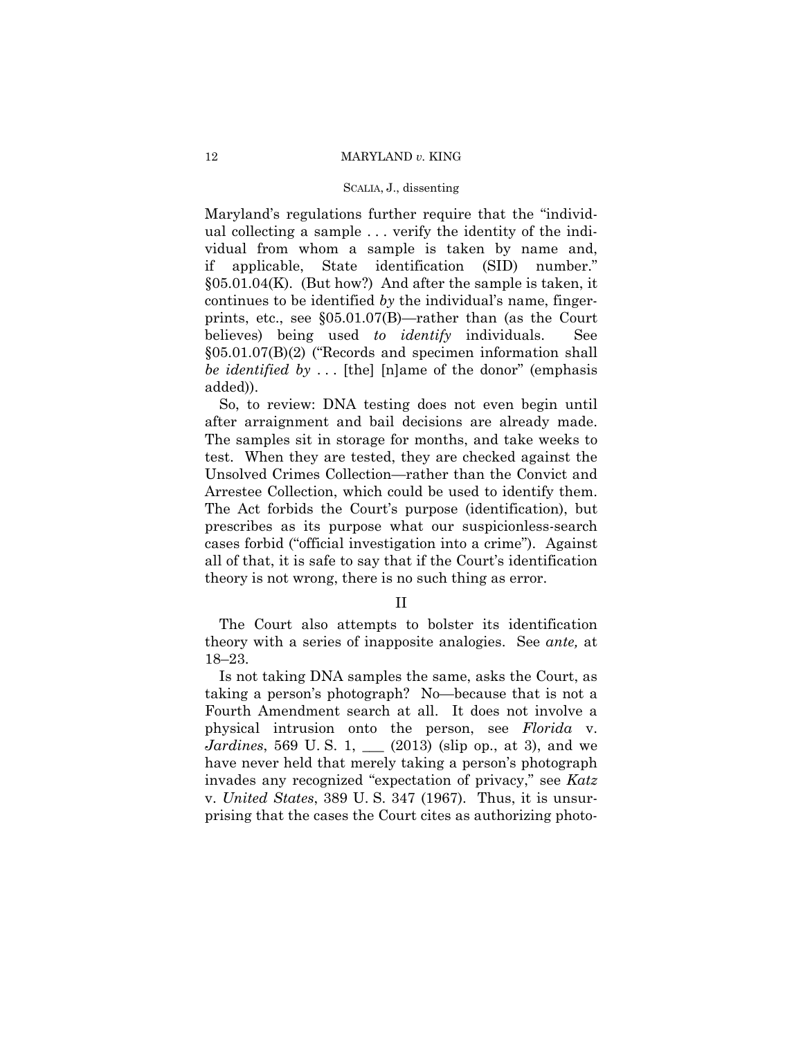Maryland's regulations further require that the "individual collecting a sample . . . verify the identity of the individual from whom a sample is taken by name and, if applicable, State identification (SID) number." §05.01.04(K). (But how?) And after the sample is taken, it continues to be identified *by* the individual's name, fingerprints, etc., see §05.01.07(B)—rather than (as the Court believes) being used *to identify* individuals. See §05.01.07(B)(2) ("Records and specimen information shall *be identified by* ... [the] [n]ame of the donor" (emphasis added)).

So, to review: DNA testing does not even begin until after arraignment and bail decisions are already made. The samples sit in storage for months, and take weeks to test. When they are tested, they are checked against the Unsolved Crimes Collection—rather than the Convict and Arrestee Collection, which could be used to identify them. The Act forbids the Court's purpose (identification), but prescribes as its purpose what our suspicionless-search cases forbid ("official investigation into a crime"). Against all of that, it is safe to say that if the Court's identification theory is not wrong, there is no such thing as error.

II

The Court also attempts to bolster its identification theory with a series of inapposite analogies. See *ante,* at 18–23.

Is not taking DNA samples the same, asks the Court, as taking a person's photograph? No—because that is not a Fourth Amendment search at all. It does not involve a physical intrusion onto the person, see *Florida* v. *Jardines*, 569 U.S. 1, <u>(2013</u>) (slip op., at 3), and we have never held that merely taking a person's photograph invades any recognized "expectation of privacy," see *Katz*  v. *United States*, 389 U. S. 347 (1967). Thus, it is unsurprising that the cases the Court cites as authorizing photo-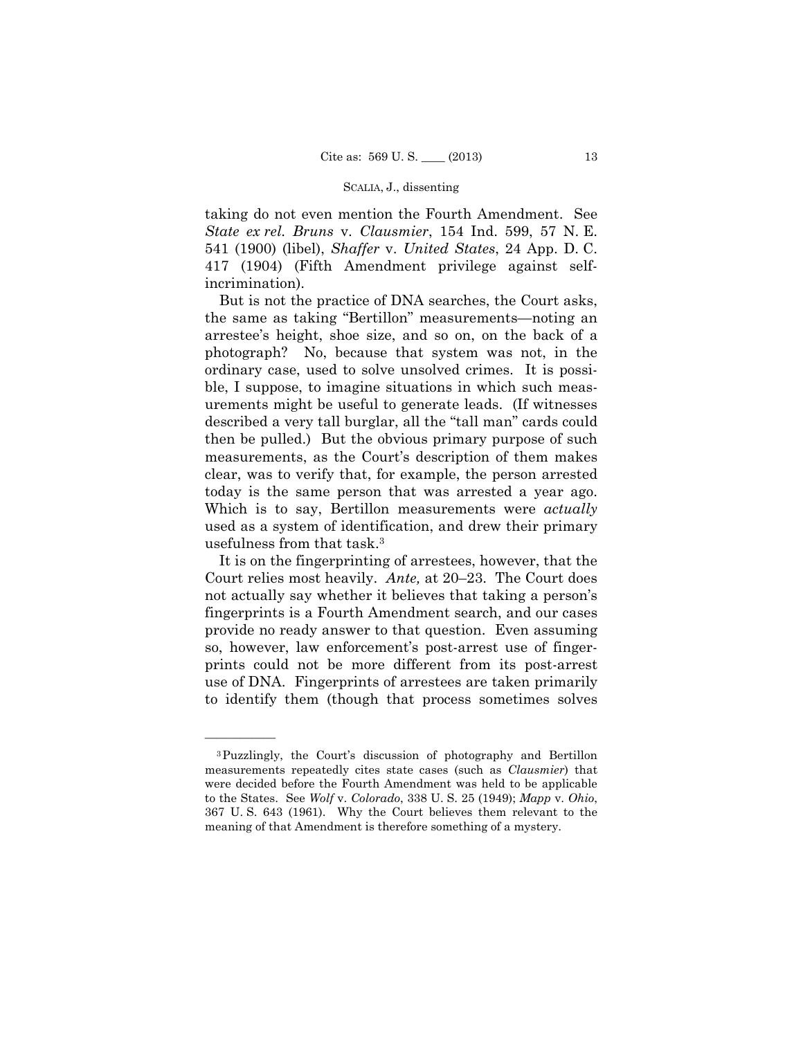taking do not even mention the Fourth Amendment. See *State ex rel. Bruns* v. *Clausmier*, 154 Ind. 599, 57 N. E. 541 (1900) (libel), *Shaffer* v. *United States*, 24 App. D. C. 417 (1904) (Fifth Amendment privilege against selfincrimination).

But is not the practice of DNA searches, the Court asks, the same as taking "Bertillon" measurements—noting an arrestee's height, shoe size, and so on, on the back of a photograph? No, because that system was not, in the ordinary case, used to solve unsolved crimes. It is possible, I suppose, to imagine situations in which such measurements might be useful to generate leads. (If witnesses described a very tall burglar, all the "tall man" cards could then be pulled.) But the obvious primary purpose of such measurements, as the Court's description of them makes clear, was to verify that, for example, the person arrested today is the same person that was arrested a year ago. Which is to say, Bertillon measurements were *actually* used as a system of identification, and drew their primary usefulness from that task.3

It is on the fingerprinting of arrestees, however, that the Court relies most heavily. *Ante,* at 20–23. The Court does not actually say whether it believes that taking a person's fingerprints is a Fourth Amendment search, and our cases provide no ready answer to that question. Even assuming so, however, law enforcement's post-arrest use of fingerprints could not be more different from its post-arrest use of DNA. Fingerprints of arrestees are taken primarily to identify them (though that process sometimes solves

<sup>3</sup>Puzzlingly, the Court's discussion of photography and Bertillon measurements repeatedly cites state cases (such as *Clausmier*) that were decided before the Fourth Amendment was held to be applicable to the States. See *Wolf* v. *Colorado*, 338 U. S. 25 (1949); *Mapp* v. *Ohio*, 367 U. S. 643 (1961). Why the Court believes them relevant to the meaning of that Amendment is therefore something of a mystery.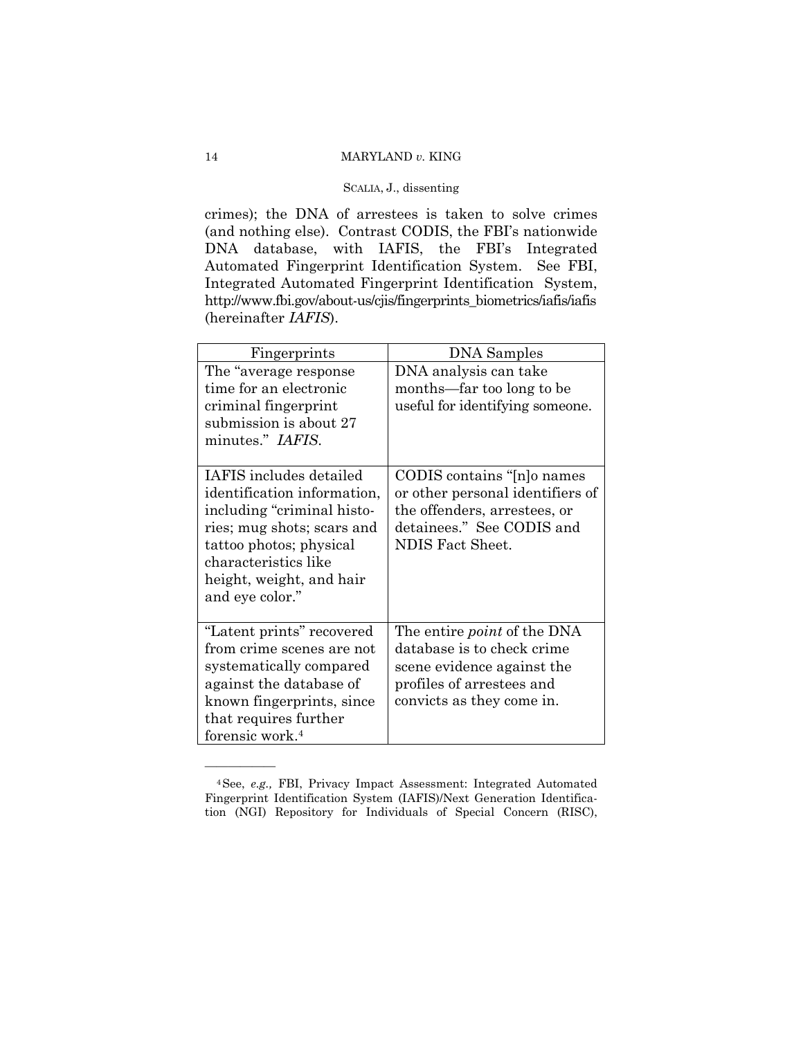crimes); the DNA of arrestees is taken to solve crimes (and nothing else). Contrast CODIS, the FBI's nationwide DNA database, with IAFIS, the FBI's Integrated Automated Fingerprint Identification System. See FBI, Integrated Automated Fingerprint Identification System, http://www.fbi.gov/about-us/cjis/fingerprints\_biometrics/iafis/iafis (hereinafter *IAFIS*).

| Fingerprints                   | <b>DNA</b> Samples                 |
|--------------------------------|------------------------------------|
| The "average response"         | DNA analysis can take              |
| time for an electronic         | months—far too long to be          |
| criminal fingerprint           | useful for identifying someone.    |
| submission is about 27         |                                    |
| minutes." IAFIS.               |                                    |
|                                |                                    |
| <b>IAFIS</b> includes detailed | CODIS contains "[n]o names         |
| identification information,    | or other personal identifiers of   |
| including "criminal histo-     | the offenders, arrestees, or       |
| ries; mug shots; scars and     | detainees." See CODIS and          |
| tattoo photos; physical        | NDIS Fact Sheet.                   |
| characteristics like           |                                    |
| height, weight, and hair       |                                    |
| and eye color."                |                                    |
|                                |                                    |
| "Latent prints" recovered      | The entire <i>point</i> of the DNA |
| from crime scenes are not      | database is to check crime         |
| systematically compared        | scene evidence against the         |
| against the database of        | profiles of arrestees and          |
| known fingerprints, since      | convicts as they come in.          |
| that requires further          |                                    |
| forensic work. <sup>4</sup>    |                                    |

<sup>4</sup>See, *e.g.,* FBI, Privacy Impact Assessment: Integrated Automated Fingerprint Identification System (IAFIS)/Next Generation Identification (NGI) Repository for Individuals of Special Concern (RISC),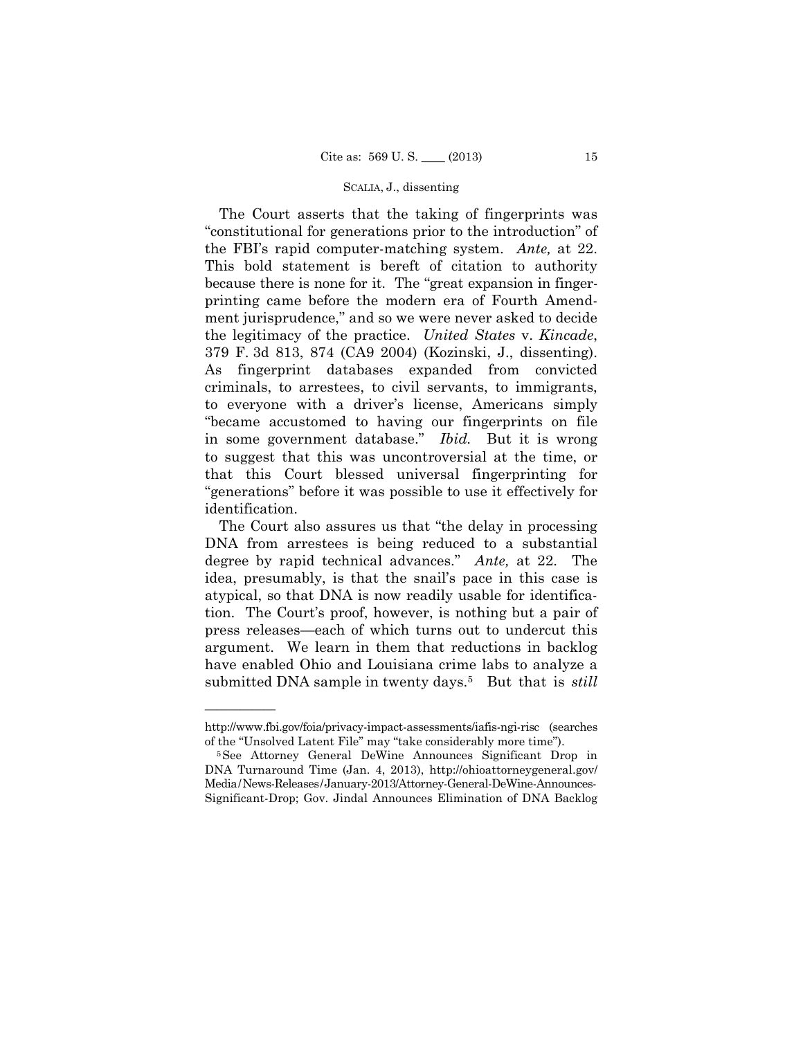379 F. 3d 813, 874 (CA9 2004) (Kozinski, J., dissenting). The Court asserts that the taking of fingerprints was "constitutional for generations prior to the introduction" of the FBI's rapid computer-matching system. *Ante,* at 22. This bold statement is bereft of citation to authority because there is none for it. The "great expansion in fingerprinting came before the modern era of Fourth Amendment jurisprudence," and so we were never asked to decide the legitimacy of the practice. *United States* v. *Kincade*, As fingerprint databases expanded from convicted criminals, to arrestees, to civil servants, to immigrants, to everyone with a driver's license, Americans simply "became accustomed to having our fingerprints on file in some government database." *Ibid.* But it is wrong to suggest that this was uncontroversial at the time, or that this Court blessed universal fingerprinting for "generations" before it was possible to use it effectively for identification.

 submitted DNA sample in twenty days.5 But that is *still*  The Court also assures us that "the delay in processing DNA from arrestees is being reduced to a substantial degree by rapid technical advances." *Ante,* at 22. The idea, presumably, is that the snail's pace in this case is atypical, so that DNA is now readily usable for identification. The Court's proof, however, is nothing but a pair of press releases—each of which turns out to undercut this argument. We learn in them that reductions in backlog have enabled Ohio and Louisiana crime labs to analyze a

http://www.fbi.gov/foia/privacy-impact-assessments/iafis-ngi-risc (searches of the "Unsolved Latent File" may "take considerably more time"). 5See Attorney General DeWine Announces Significant Drop in

DNA Turnaround Time (Jan. 4, 2013), http://ohioattorneygeneral.gov/ Media/News-Releases/January-2013/Attorney-General-DeWine-Announces-Significant-Drop; Gov. Jindal Announces Elimination of DNA Backlog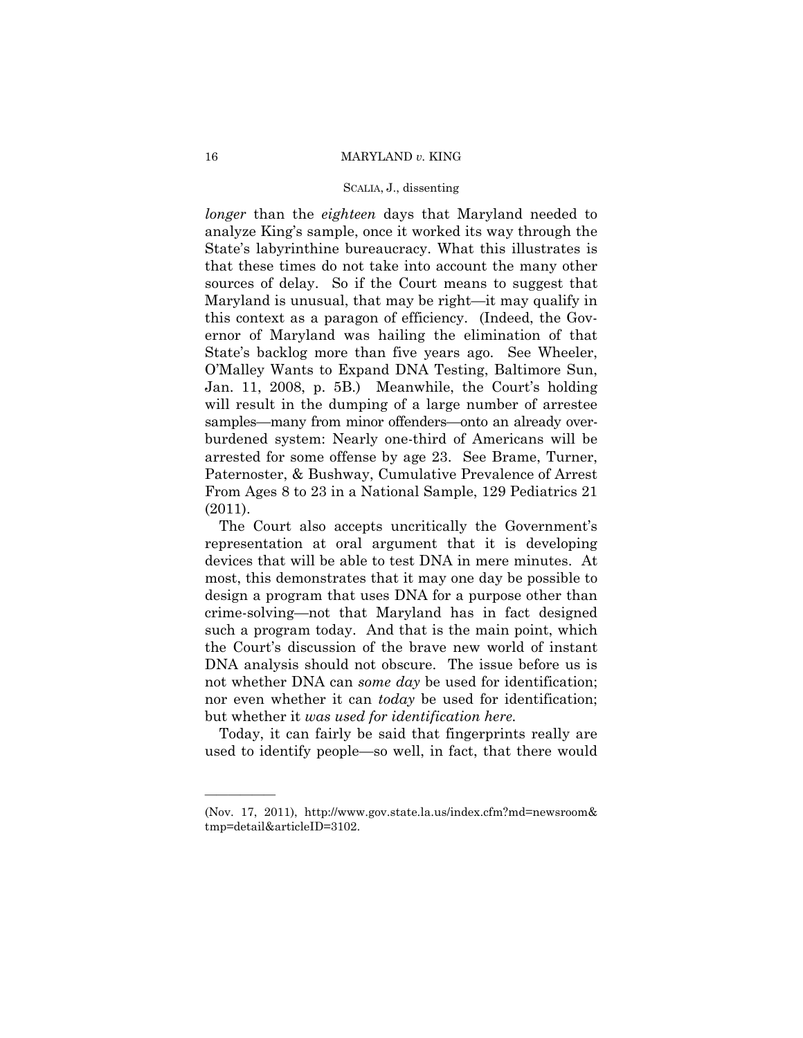### SCALIA, J., dissenting

*longer* than the *eighteen* days that Maryland needed to analyze King's sample, once it worked its way through the State's labyrinthine bureaucracy. What this illustrates is that these times do not take into account the many other sources of delay. So if the Court means to suggest that Maryland is unusual, that may be right—it may qualify in this context as a paragon of efficiency. (Indeed, the Governor of Maryland was hailing the elimination of that State's backlog more than five years ago. See Wheeler, O'Malley Wants to Expand DNA Testing, Baltimore Sun, Jan. 11, 2008, p. 5B.) Meanwhile, the Court's holding will result in the dumping of a large number of arrestee samples—many from minor offenders—onto an already overburdened system: Nearly one-third of Americans will be arrested for some offense by age 23. See Brame, Turner, Paternoster, & Bushway, Cumulative Prevalence of Arrest From Ages 8 to 23 in a National Sample, 129 Pediatrics 21 (2011).

The Court also accepts uncritically the Government's representation at oral argument that it is developing devices that will be able to test DNA in mere minutes. At most, this demonstrates that it may one day be possible to design a program that uses DNA for a purpose other than crime-solving—not that Maryland has in fact designed such a program today. And that is the main point, which the Court's discussion of the brave new world of instant DNA analysis should not obscure. The issue before us is not whether DNA can *some day* be used for identification; nor even whether it can *today* be used for identification; but whether it *was used for identification here.* 

Today, it can fairly be said that fingerprints really are used to identify people—so well, in fact, that there would

<sup>(</sup>Nov. 17, 2011), http://www.gov.state.la.us/index.cfm?md=newsroom& tmp=detail&articleID=3102.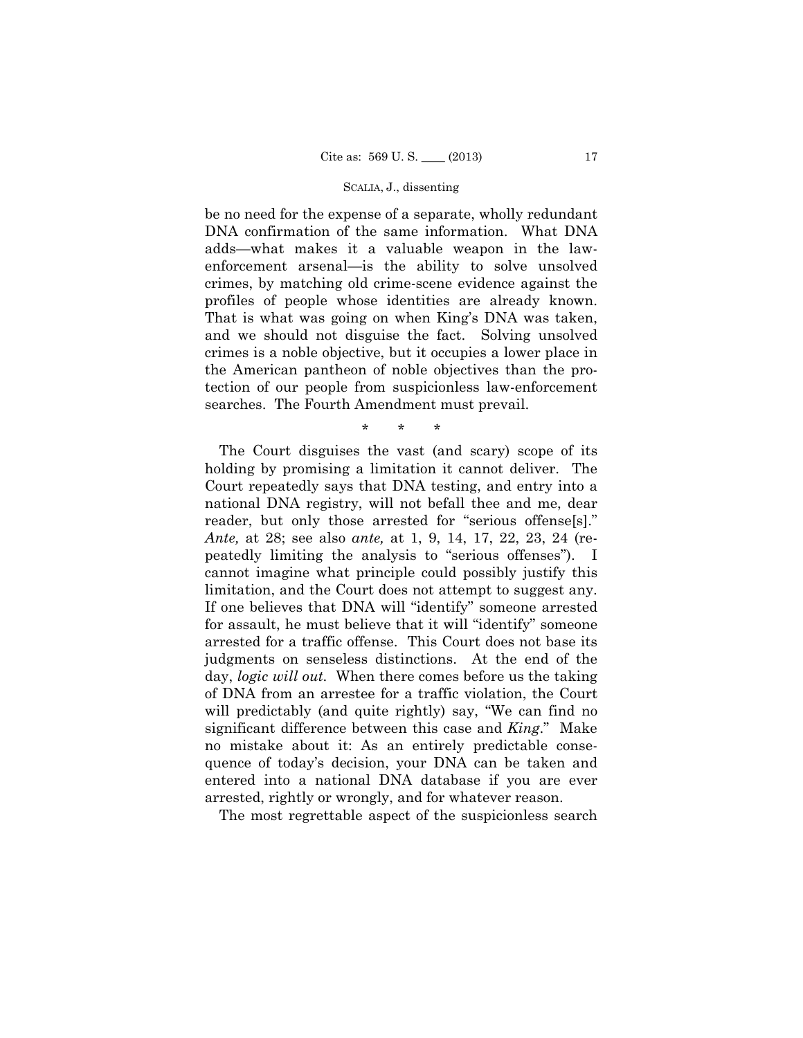be no need for the expense of a separate, wholly redundant DNA confirmation of the same information. What DNA adds—what makes it a valuable weapon in the lawenforcement arsenal—is the ability to solve unsolved crimes, by matching old crime-scene evidence against the profiles of people whose identities are already known. That is what was going on when King's DNA was taken, and we should not disguise the fact. Solving unsolved crimes is a noble objective, but it occupies a lower place in the American pantheon of noble objectives than the protection of our people from suspicionless law-enforcement searches. The Fourth Amendment must prevail.

\* \* \*

The Court disguises the vast (and scary) scope of its holding by promising a limitation it cannot deliver. The Court repeatedly says that DNA testing, and entry into a national DNA registry, will not befall thee and me, dear reader, but only those arrested for "serious offense[s]." *Ante,* at 28; see also *ante,* at 1, 9, 14, 17, 22, 23, 24 (repeatedly limiting the analysis to "serious offenses"). I cannot imagine what principle could possibly justify this limitation, and the Court does not attempt to suggest any. If one believes that DNA will "identify" someone arrested for assault, he must believe that it will "identify" someone arrested for a traffic offense. This Court does not base its judgments on senseless distinctions. At the end of the day, *logic will out.* When there comes before us the taking of DNA from an arrestee for a traffic violation, the Court will predictably (and quite rightly) say, "We can find no significant difference between this case and *King*." Make no mistake about it: As an entirely predictable consequence of today's decision, your DNA can be taken and entered into a national DNA database if you are ever arrested, rightly or wrongly, and for whatever reason.

The most regrettable aspect of the suspicionless search